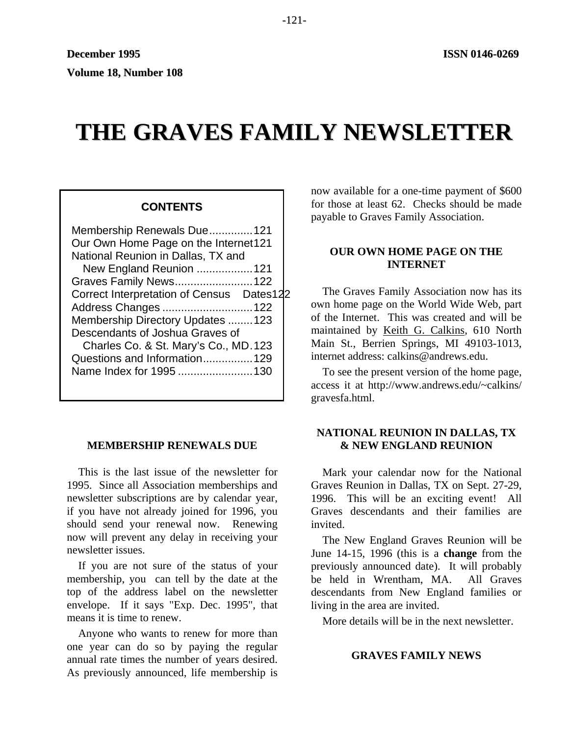# **THE GRAVES FAMILY NEWSLETTER**

## **CONTENTS**

| Membership Renewals Due121                |  |  |  |  |
|-------------------------------------------|--|--|--|--|
| Our Own Home Page on the Internet121      |  |  |  |  |
| National Reunion in Dallas, TX and        |  |  |  |  |
| New England Reunion  121                  |  |  |  |  |
| Graves Family News122                     |  |  |  |  |
| Correct Interpretation of Census Dates122 |  |  |  |  |
| Address Changes  122                      |  |  |  |  |
| Membership Directory Updates 123          |  |  |  |  |
| Descendants of Joshua Graves of           |  |  |  |  |
| Charles Co. & St. Mary's Co., MD.123      |  |  |  |  |
| Questions and Information129              |  |  |  |  |
| Name Index for 1995 130                   |  |  |  |  |
|                                           |  |  |  |  |

## **MEMBERSHIP RENEWALS DUE**

This is the last issue of the newsletter for 1995. Since all Association memberships and newsletter subscriptions are by calendar year, if you have not already joined for 1996, you should send your renewal now. Renewing now will prevent any delay in receiving your newsletter issues.

If you are not sure of the status of your membership, you can tell by the date at the top of the address label on the newsletter envelope. If it says "Exp. Dec. 1995", that means it is time to renew.

Anyone who wants to renew for more than one year can do so by paying the regular annual rate times the number of years desired. As previously announced, life membership is now available for a one-time payment of \$600 for those at least 62. Checks should be made payable to Graves Family Association.

## **OUR OWN HOME PAGE ON THE INTERNET**

The Graves Family Association now has its own home page on the World Wide Web, part of the Internet. This was created and will be maintained by Keith G. Calkins, 610 North Main St., Berrien Springs, MI 49103-1013, internet address: calkins@andrews.edu.

To see the present version of the home page, access it at http://www.andrews.edu/~calkins/ gravesfa.html.

## **NATIONAL REUNION IN DALLAS, TX & NEW ENGLAND REUNION**

Mark your calendar now for the National Graves Reunion in Dallas, TX on Sept. 27-29, 1996. This will be an exciting event! All Graves descendants and their families are invited.

The New England Graves Reunion will be June 14-15, 1996 (this is a **change** from the previously announced date). It will probably be held in Wrentham, MA. All Graves descendants from New England families or living in the area are invited.

More details will be in the next newsletter.

## **GRAVES FAMILY NEWS**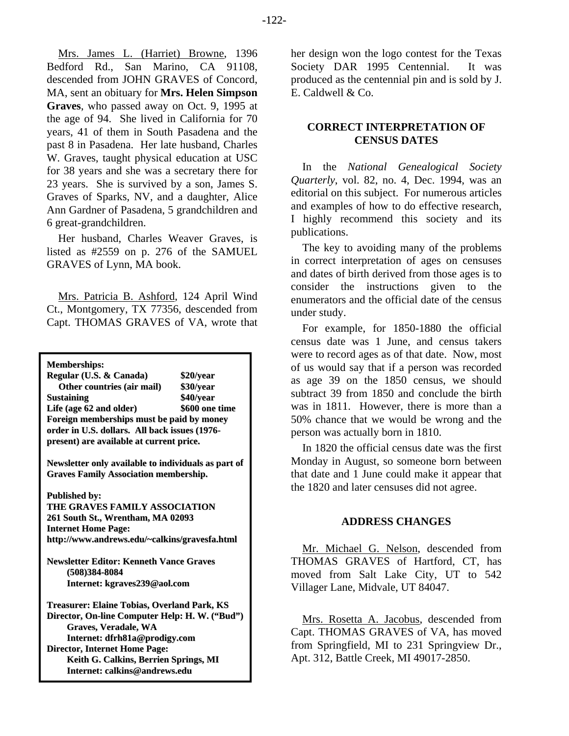Mrs. James L. (Harriet) Browne, 1396 Bedford Rd., San Marino, CA 91108, descended from JOHN GRAVES of Concord, MA, sent an obituary for **Mrs. Helen Simpson Graves**, who passed away on Oct. 9, 1995 at the age of 94. She lived in California for 70 years, 41 of them in South Pasadena and the past 8 in Pasadena. Her late husband, Charles W. Graves, taught physical education at USC for 38 years and she was a secretary there for 23 years. She is survived by a son, James S. Graves of Sparks, NV, and a daughter, Alice Ann Gardner of Pasadena, 5 grandchildren and 6 great-grandchildren.

Her husband, Charles Weaver Graves, is listed as #2559 on p. 276 of the SAMUEL GRAVES of Lynn, MA book.

Mrs. Patricia B. Ashford, 124 April Wind Ct., Montgomery, TX 77356, descended from Capt. THOMAS GRAVES of VA, wrote that

**Memberships:**

**Regular (U.S. & Canada) \$20/year Other countries (air mail) \$30/year Sustaining \$40/year Life (age 62 and older) \$600 one time Foreign memberships must be paid by money order in U.S. dollars. All back issues (1976 present) are available at current price.**

**Newsletter only available to individuals as part of Graves Family Association membership.**

**Published by:**

**THE GRAVES FAMILY ASSOCIATION 261 South St., Wrentham, MA 02093 Internet Home Page: http://www.andrews.edu/~calkins/gravesfa.html**

**Newsletter Editor: Kenneth Vance Graves (508)384-8084 Internet: kgraves239@aol.com**

**Treasurer: Elaine Tobias, Overland Park, KS Director, On-line Computer Help: H. W. ("Bud") Graves, Veradale, WA Internet: dfrh81a@prodigy.com Director, Internet Home Page: Keith G. Calkins, Berrien Springs, MI Internet: calkins@andrews.edu**

her design won the logo contest for the Texas Society DAR 1995 Centennial. It was produced as the centennial pin and is sold by J. E. Caldwell & Co.

## **CORRECT INTERPRETATION OF CENSUS DATES**

In the *National Genealogical Society Quarterly*, vol. 82, no. 4, Dec. 1994, was an editorial on this subject. For numerous articles and examples of how to do effective research, I highly recommend this society and its publications.

The key to avoiding many of the problems in correct interpretation of ages on censuses and dates of birth derived from those ages is to consider the instructions given to the enumerators and the official date of the census under study.

For example, for 1850-1880 the official census date was 1 June, and census takers were to record ages as of that date. Now, most of us would say that if a person was recorded as age 39 on the 1850 census, we should subtract 39 from 1850 and conclude the birth was in 1811. However, there is more than a 50% chance that we would be wrong and the person was actually born in 1810.

In 1820 the official census date was the first Monday in August, so someone born between that date and 1 June could make it appear that the 1820 and later censuses did not agree.

### **ADDRESS CHANGES**

Mr. Michael G. Nelson, descended from THOMAS GRAVES of Hartford, CT, has moved from Salt Lake City, UT to 542 Villager Lane, Midvale, UT 84047.

Mrs. Rosetta A. Jacobus, descended from Capt. THOMAS GRAVES of VA, has moved from Springfield, MI to 231 Springview Dr., Apt. 312, Battle Creek, MI 49017-2850.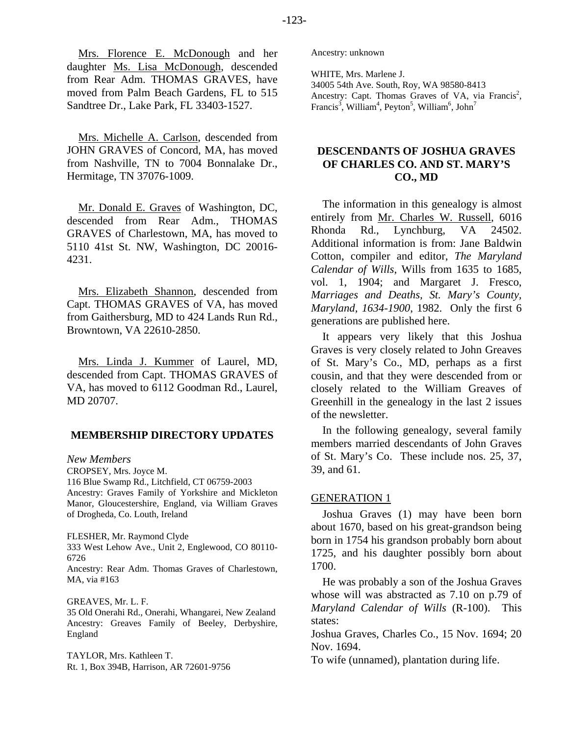Mrs. Florence E. McDonough and her daughter Ms. Lisa McDonough, descended from Rear Adm. THOMAS GRAVES, have moved from Palm Beach Gardens, FL to 515 Sandtree Dr., Lake Park, FL 33403-1527.

Mrs. Michelle A. Carlson, descended from JOHN GRAVES of Concord, MA, has moved from Nashville, TN to 7004 Bonnalake Dr., Hermitage, TN 37076-1009.

Mr. Donald E. Graves of Washington, DC, descended from Rear Adm., THOMAS GRAVES of Charlestown, MA, has moved to 5110 41st St. NW, Washington, DC 20016- 4231.

Mrs. Elizabeth Shannon, descended from Capt. THOMAS GRAVES of VA, has moved from Gaithersburg, MD to 424 Lands Run Rd., Browntown, VA 22610-2850.

Mrs. Linda J. Kummer of Laurel, MD, descended from Capt. THOMAS GRAVES of VA, has moved to 6112 Goodman Rd., Laurel, MD 20707.

### **MEMBERSHIP DIRECTORY UPDATES**

*New Members*  CROPSEY, Mrs. Joyce M. 116 Blue Swamp Rd., Litchfield, CT 06759-2003 Ancestry: Graves Family of Yorkshire and Mickleton Manor, Gloucestershire, England, via William Graves of Drogheda, Co. Louth, Ireland

FLESHER, Mr. Raymond Clyde 333 West Lehow Ave., Unit 2, Englewood, CO 80110- 6726

Ancestry: Rear Adm. Thomas Graves of Charlestown, MA, via #163

GREAVES, Mr. L. F. 35 Old Onerahi Rd., Onerahi, Whangarei, New Zealand Ancestry: Greaves Family of Beeley, Derbyshire, England

TAYLOR, Mrs. Kathleen T. Rt. 1, Box 394B, Harrison, AR 72601-9756 Ancestry: unknown

WHITE, Mrs. Marlene J.

34005 54th Ave. South, Roy, WA 98580-8413 Ancestry: Capt. Thomas Graves of VA, via Francis<sup>2</sup>, Francis<sup>3</sup>, William<sup>4</sup>, Peyton<sup>5</sup>, William<sup>6</sup>, John<sup>7</sup>

# **DESCENDANTS OF JOSHUA GRAVES OF CHARLES CO. AND ST. MARY'S CO., MD**

The information in this genealogy is almost entirely from Mr. Charles W. Russell, 6016 Rhonda Rd., Lynchburg, VA 24502. Additional information is from: Jane Baldwin Cotton, compiler and editor, *The Maryland Calendar of Wills*, Wills from 1635 to 1685, vol. 1, 1904; and Margaret J. Fresco, *Marriages and Deaths, St. Mary's County, Maryland, 1634-1900*, 1982. Only the first 6 generations are published here.

It appears very likely that this Joshua Graves is very closely related to John Greaves of St. Mary's Co., MD, perhaps as a first cousin, and that they were descended from or closely related to the William Greaves of Greenhill in the genealogy in the last 2 issues of the newsletter.

In the following genealogy, several family members married descendants of John Graves of St. Mary's Co. These include nos. 25, 37, 39, and 61.

#### GENERATION 1

Joshua Graves (1) may have been born about 1670, based on his great-grandson being born in 1754 his grandson probably born about 1725, and his daughter possibly born about 1700.

He was probably a son of the Joshua Graves whose will was abstracted as 7.10 on p.79 of *Maryland Calendar of Wills* (R-100). This states:

Joshua Graves, Charles Co., 15 Nov. 1694; 20 Nov. 1694.

To wife (unnamed), plantation during life.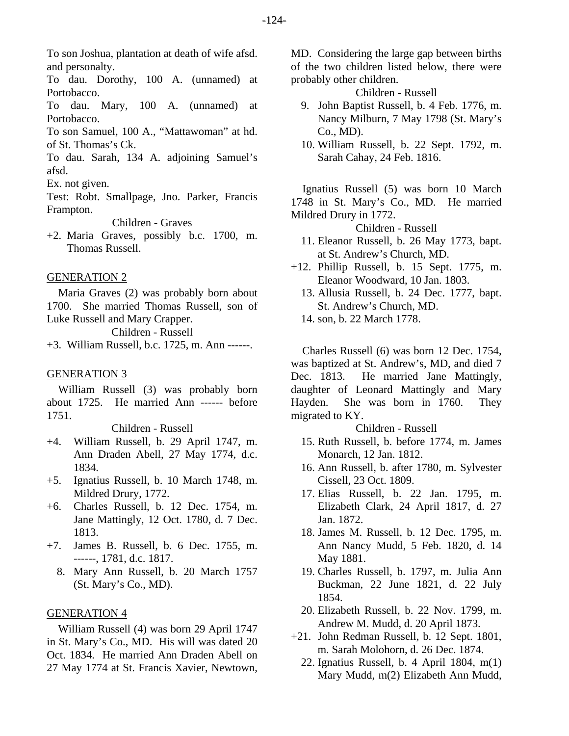To son Joshua, plantation at death of wife afsd. and personalty.

To dau. Dorothy, 100 A. (unnamed) at Portobacco.

To dau. Mary, 100 A. (unnamed) at Portobacco.

To son Samuel, 100 A., "Mattawoman" at hd. of St. Thomas's Ck.

To dau. Sarah, 134 A. adjoining Samuel's afsd.

Ex. not given.

Test: Robt. Smallpage, Jno. Parker, Francis Frampton.

Children - Graves

+2. Maria Graves, possibly b.c. 1700, m. Thomas Russell.

#### GENERATION 2

Maria Graves (2) was probably born about 1700. She married Thomas Russell, son of Luke Russell and Mary Crapper. Children - Russell

+3. William Russell, b.c. 1725, m. Ann ------.

#### GENERATION 3

William Russell (3) was probably born about 1725. He married Ann ------ before 1751.

### Children - Russell

- +4. William Russell, b. 29 April 1747, m. Ann Draden Abell, 27 May 1774, d.c. 1834.
- +5. Ignatius Russell, b. 10 March 1748, m. Mildred Drury, 1772.
- +6. Charles Russell, b. 12 Dec. 1754, m. Jane Mattingly, 12 Oct. 1780, d. 7 Dec. 1813.
- +7. James B. Russell, b. 6 Dec. 1755, m. ------, 1781, d.c. 1817.
	- 8. Mary Ann Russell, b. 20 March 1757 (St. Mary's Co., MD).

### GENERATION 4

William Russell (4) was born 29 April 1747 in St. Mary's Co., MD. His will was dated 20 Oct. 1834. He married Ann Draden Abell on 27 May 1774 at St. Francis Xavier, Newtown, MD. Considering the large gap between births of the two children listed below, there were probably other children.

Children - Russell

- 9. John Baptist Russell, b. 4 Feb. 1776, m. Nancy Milburn, 7 May 1798 (St. Mary's Co., MD).
- 10. William Russell, b. 22 Sept. 1792, m. Sarah Cahay, 24 Feb. 1816.

Ignatius Russell (5) was born 10 March 1748 in St. Mary's Co., MD. He married Mildred Drury in 1772.

## Children - Russell

- 11. Eleanor Russell, b. 26 May 1773, bapt. at St. Andrew's Church, MD.
- +12. Phillip Russell, b. 15 Sept. 1775, m. Eleanor Woodward, 10 Jan. 1803.
	- 13. Allusia Russell, b. 24 Dec. 1777, bapt. St. Andrew's Church, MD.

14. son, b. 22 March 1778.

Charles Russell (6) was born 12 Dec. 1754, was baptized at St. Andrew's, MD, and died 7 Dec. 1813. He married Jane Mattingly, daughter of Leonard Mattingly and Mary Hayden. She was born in 1760. They migrated to KY.

Children - Russell

- 15. Ruth Russell, b. before 1774, m. James Monarch, 12 Jan. 1812.
- 16. Ann Russell, b. after 1780, m. Sylvester Cissell, 23 Oct. 1809.
- 17. Elias Russell, b. 22 Jan. 1795, m. Elizabeth Clark, 24 April 1817, d. 27 Jan. 1872.
- 18. James M. Russell, b. 12 Dec. 1795, m. Ann Nancy Mudd, 5 Feb. 1820, d. 14 May 1881.
- 19. Charles Russell, b. 1797, m. Julia Ann Buckman, 22 June 1821, d. 22 July 1854.
- 20. Elizabeth Russell, b. 22 Nov. 1799, m. Andrew M. Mudd, d. 20 April 1873.
- +21. John Redman Russell, b. 12 Sept. 1801, m. Sarah Molohorn, d. 26 Dec. 1874.
	- 22. Ignatius Russell, b. 4 April 1804, m(1) Mary Mudd, m(2) Elizabeth Ann Mudd,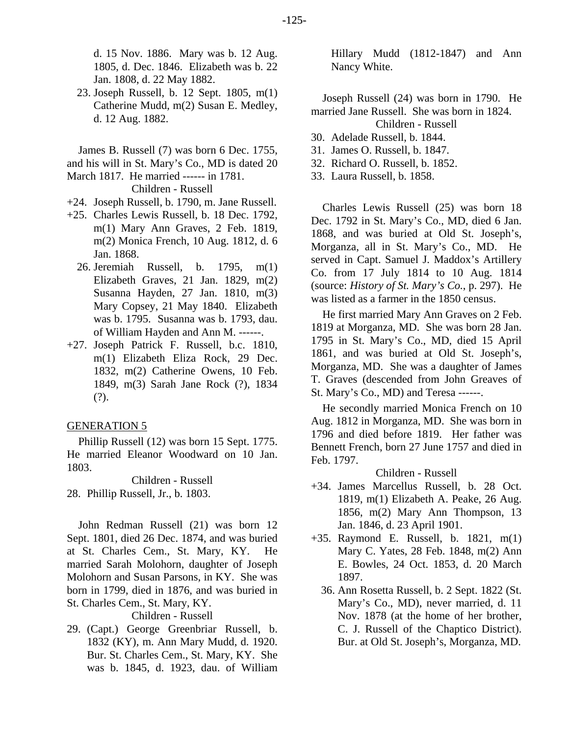d. 15 Nov. 1886. Mary was b. 12 Aug. 1805, d. Dec. 1846. Elizabeth was b. 22 Jan. 1808, d. 22 May 1882.

 23. Joseph Russell, b. 12 Sept. 1805, m(1) Catherine Mudd, m(2) Susan E. Medley, d. 12 Aug. 1882.

James B. Russell (7) was born 6 Dec. 1755, and his will in St. Mary's Co., MD is dated 20 March 1817. He married ------ in 1781.

Children - Russell

- +24. Joseph Russell, b. 1790, m. Jane Russell.
- +25. Charles Lewis Russell, b. 18 Dec. 1792, m(1) Mary Ann Graves, 2 Feb. 1819, m(2) Monica French, 10 Aug. 1812, d. 6 Jan. 1868.
	- 26. Jeremiah Russell, b. 1795, m(1) Elizabeth Graves, 21 Jan. 1829, m(2) Susanna Hayden, 27 Jan. 1810, m(3) Mary Copsey, 21 May 1840. Elizabeth was b. 1795. Susanna was b. 1793, dau. of William Hayden and Ann M. ------.
- +27. Joseph Patrick F. Russell, b.c. 1810, m(1) Elizabeth Eliza Rock, 29 Dec. 1832, m(2) Catherine Owens, 10 Feb. 1849, m(3) Sarah Jane Rock (?), 1834 (?).

### GENERATION 5

Phillip Russell (12) was born 15 Sept. 1775. He married Eleanor Woodward on 10 Jan. 1803.

Children - Russell 28. Phillip Russell, Jr., b. 1803.

John Redman Russell (21) was born 12 Sept. 1801, died 26 Dec. 1874, and was buried at St. Charles Cem., St. Mary, KY. He married Sarah Molohorn, daughter of Joseph Molohorn and Susan Parsons, in KY. She was born in 1799, died in 1876, and was buried in St. Charles Cem., St. Mary, KY.

Children - Russell

29. (Capt.) George Greenbriar Russell, b. 1832 (KY), m. Ann Mary Mudd, d. 1920. Bur. St. Charles Cem., St. Mary, KY. She was b. 1845, d. 1923, dau. of William Hillary Mudd (1812-1847) and Ann Nancy White.

Joseph Russell (24) was born in 1790. He married Jane Russell. She was born in 1824.

## Children - Russell

- 30. Adelade Russell, b. 1844.
- 31. James O. Russell, b. 1847.
- 32. Richard O. Russell, b. 1852.
- 33. Laura Russell, b. 1858.

Charles Lewis Russell (25) was born 18 Dec. 1792 in St. Mary's Co., MD, died 6 Jan. 1868, and was buried at Old St. Joseph's, Morganza, all in St. Mary's Co., MD. He served in Capt. Samuel J. Maddox's Artillery Co. from 17 July 1814 to 10 Aug. 1814 (source: *History of St. Mary's Co.*, p. 297). He was listed as a farmer in the 1850 census.

He first married Mary Ann Graves on 2 Feb. 1819 at Morganza, MD. She was born 28 Jan. 1795 in St. Mary's Co., MD, died 15 April 1861, and was buried at Old St. Joseph's, Morganza, MD. She was a daughter of James T. Graves (descended from John Greaves of St. Mary's Co., MD) and Teresa ------.

He secondly married Monica French on 10 Aug. 1812 in Morganza, MD. She was born in 1796 and died before 1819. Her father was Bennett French, born 27 June 1757 and died in Feb. 1797.

Children - Russell

- +34. James Marcellus Russell, b. 28 Oct. 1819, m(1) Elizabeth A. Peake, 26 Aug. 1856, m(2) Mary Ann Thompson, 13 Jan. 1846, d. 23 April 1901.
- +35. Raymond E. Russell, b. 1821, m(1) Mary C. Yates, 28 Feb. 1848, m(2) Ann E. Bowles, 24 Oct. 1853, d. 20 March 1897.
	- 36. Ann Rosetta Russell, b. 2 Sept. 1822 (St. Mary's Co., MD), never married, d. 11 Nov. 1878 (at the home of her brother, C. J. Russell of the Chaptico District). Bur. at Old St. Joseph's, Morganza, MD.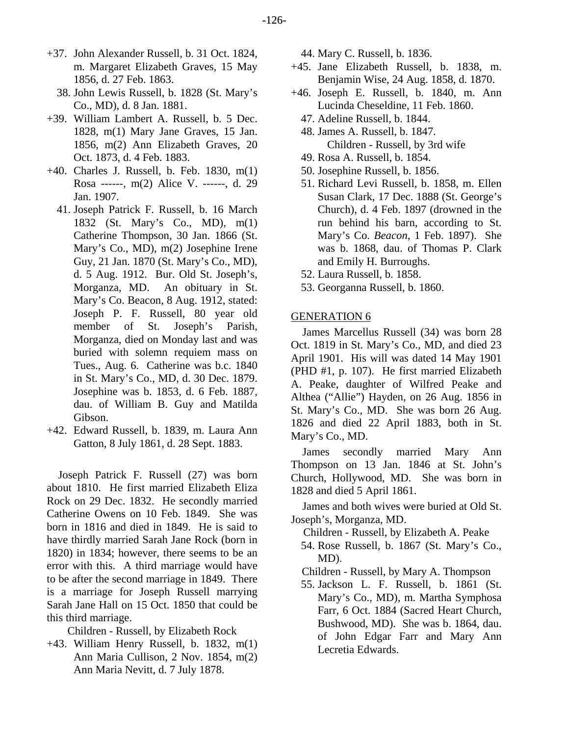- +37. John Alexander Russell, b. 31 Oct. 1824,
	- m. Margaret Elizabeth Graves, 15 May 1856, d. 27 Feb. 1863.
	- 38. John Lewis Russell, b. 1828 (St. Mary's Co., MD), d. 8 Jan. 1881.
- +39. William Lambert A. Russell, b. 5 Dec. 1828, m(1) Mary Jane Graves, 15 Jan. 1856, m(2) Ann Elizabeth Graves, 20 Oct. 1873, d. 4 Feb. 1883.
- +40. Charles J. Russell, b. Feb. 1830, m(1) Rosa ------, m(2) Alice V. ------, d. 29 Jan. 1907.
	- 41. Joseph Patrick F. Russell, b. 16 March 1832 (St. Mary's Co., MD), m(1) Catherine Thompson, 30 Jan. 1866 (St. Mary's Co., MD), m(2) Josephine Irene Guy, 21 Jan. 1870 (St. Mary's Co., MD), d. 5 Aug. 1912. Bur. Old St. Joseph's, Morganza, MD. An obituary in St. Mary's Co. Beacon, 8 Aug. 1912, stated: Joseph P. F. Russell, 80 year old member of St. Joseph's Parish, Morganza, died on Monday last and was buried with solemn requiem mass on Tues., Aug. 6. Catherine was b.c. 1840 in St. Mary's Co., MD, d. 30 Dec. 1879. Josephine was b. 1853, d. 6 Feb. 1887, dau. of William B. Guy and Matilda Gibson.
- +42. Edward Russell, b. 1839, m. Laura Ann Gatton, 8 July 1861, d. 28 Sept. 1883.

Joseph Patrick F. Russell (27) was born about 1810. He first married Elizabeth Eliza Rock on 29 Dec. 1832. He secondly married Catherine Owens on 10 Feb. 1849. She was born in 1816 and died in 1849. He is said to have thirdly married Sarah Jane Rock (born in 1820) in 1834; however, there seems to be an error with this. A third marriage would have to be after the second marriage in 1849. There is a marriage for Joseph Russell marrying Sarah Jane Hall on 15 Oct. 1850 that could be this third marriage.

Children - Russell, by Elizabeth Rock

+43. William Henry Russell, b. 1832, m(1) Ann Maria Cullison, 2 Nov. 1854, m(2) Ann Maria Nevitt, d. 7 July 1878.

44. Mary C. Russell, b. 1836.

- +45. Jane Elizabeth Russell, b. 1838, m. Benjamin Wise, 24 Aug. 1858, d. 1870.
- +46. Joseph E. Russell, b. 1840, m. Ann Lucinda Cheseldine, 11 Feb. 1860.
	- 47. Adeline Russell, b. 1844.
	- 48. James A. Russell, b. 1847. Children - Russell, by 3rd wife
	- 49. Rosa A. Russell, b. 1854.
	- 50. Josephine Russell, b. 1856.
	- 51. Richard Levi Russell, b. 1858, m. Ellen Susan Clark, 17 Dec. 1888 (St. George's Church), d. 4 Feb. 1897 (drowned in the run behind his barn, according to St. Mary's Co. *Beacon*, 1 Feb. 1897). She was b. 1868, dau. of Thomas P. Clark and Emily H. Burroughs.
	- 52. Laura Russell, b. 1858.
	- 53. Georganna Russell, b. 1860.

### GENERATION 6

James Marcellus Russell (34) was born 28 Oct. 1819 in St. Mary's Co., MD, and died 23 April 1901. His will was dated 14 May 1901 (PHD #1, p. 107). He first married Elizabeth A. Peake, daughter of Wilfred Peake and Althea ("Allie") Hayden, on 26 Aug. 1856 in St. Mary's Co., MD. She was born 26 Aug. 1826 and died 22 April 1883, both in St. Mary's Co., MD.

James secondly married Mary Ann Thompson on 13 Jan. 1846 at St. John's Church, Hollywood, MD. She was born in 1828 and died 5 April 1861.

James and both wives were buried at Old St. Joseph's, Morganza, MD.

- Children Russell, by Elizabeth A. Peake
- 54. Rose Russell, b. 1867 (St. Mary's Co., MD).

Children - Russell, by Mary A. Thompson

 55. Jackson L. F. Russell, b. 1861 (St. Mary's Co., MD), m. Martha Symphosa Farr, 6 Oct. 1884 (Sacred Heart Church, Bushwood, MD). She was b. 1864, dau. of John Edgar Farr and Mary Ann Lecretia Edwards.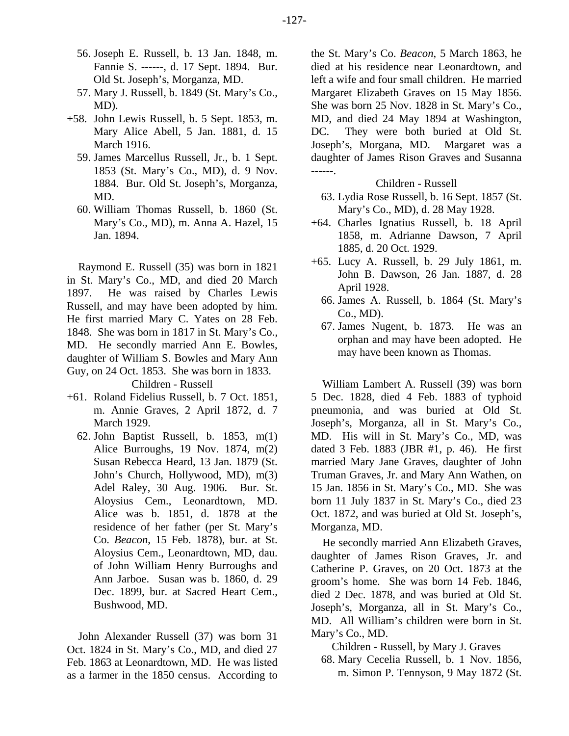- 56. Joseph E. Russell, b. 13 Jan. 1848, m. Fannie S. ------, d. 17 Sept. 1894. Bur. Old St. Joseph's, Morganza, MD.
- 57. Mary J. Russell, b. 1849 (St. Mary's Co., MD).
- +58. John Lewis Russell, b. 5 Sept. 1853, m. Mary Alice Abell, 5 Jan. 1881, d. 15 March 1916.
	- 59. James Marcellus Russell, Jr., b. 1 Sept. 1853 (St. Mary's Co., MD), d. 9 Nov. 1884. Bur. Old St. Joseph's, Morganza, MD.
	- 60. William Thomas Russell, b. 1860 (St. Mary's Co., MD), m. Anna A. Hazel, 15 Jan. 1894.

Raymond E. Russell (35) was born in 1821 in St. Mary's Co., MD, and died 20 March 1897. He was raised by Charles Lewis Russell, and may have been adopted by him. He first married Mary C. Yates on 28 Feb. 1848. She was born in 1817 in St. Mary's Co., MD. He secondly married Ann E. Bowles, daughter of William S. Bowles and Mary Ann Guy, on 24 Oct. 1853. She was born in 1833.

Children - Russell

- +61. Roland Fidelius Russell, b. 7 Oct. 1851, m. Annie Graves, 2 April 1872, d. 7 March 1929.
	- 62. John Baptist Russell, b. 1853, m(1) Alice Burroughs, 19 Nov. 1874, m(2) Susan Rebecca Heard, 13 Jan. 1879 (St. John's Church, Hollywood, MD), m(3) Adel Raley, 30 Aug. 1906. Bur. St. Aloysius Cem., Leonardtown, MD. Alice was b. 1851, d. 1878 at the residence of her father (per St. Mary's Co. *Beacon*, 15 Feb. 1878), bur. at St. Aloysius Cem., Leonardtown, MD, dau. of John William Henry Burroughs and Ann Jarboe. Susan was b. 1860, d. 29 Dec. 1899, bur. at Sacred Heart Cem., Bushwood, MD.

John Alexander Russell (37) was born 31 Oct. 1824 in St. Mary's Co., MD, and died 27 Feb. 1863 at Leonardtown, MD. He was listed as a farmer in the 1850 census. According to the St. Mary's Co. *Beacon*, 5 March 1863, he died at his residence near Leonardtown, and left a wife and four small children. He married Margaret Elizabeth Graves on 15 May 1856. She was born 25 Nov. 1828 in St. Mary's Co., MD, and died 24 May 1894 at Washington, DC. They were both buried at Old St. Joseph's, Morgana, MD. Margaret was a daughter of James Rison Graves and Susanna ------.

#### Children - Russell

- 63. Lydia Rose Russell, b. 16 Sept. 1857 (St. Mary's Co., MD), d. 28 May 1928.
- +64. Charles Ignatius Russell, b. 18 April 1858, m. Adrianne Dawson, 7 April 1885, d. 20 Oct. 1929.
- +65. Lucy A. Russell, b. 29 July 1861, m. John B. Dawson, 26 Jan. 1887, d. 28 April 1928.
	- 66. James A. Russell, b. 1864 (St. Mary's Co., MD).
	- 67. James Nugent, b. 1873. He was an orphan and may have been adopted. He may have been known as Thomas.

William Lambert A. Russell (39) was born 5 Dec. 1828, died 4 Feb. 1883 of typhoid pneumonia, and was buried at Old St. Joseph's, Morganza, all in St. Mary's Co., MD. His will in St. Mary's Co., MD, was dated 3 Feb. 1883 (JBR #1, p. 46). He first married Mary Jane Graves, daughter of John Truman Graves, Jr. and Mary Ann Wathen, on 15 Jan. 1856 in St. Mary's Co., MD. She was born 11 July 1837 in St. Mary's Co., died 23 Oct. 1872, and was buried at Old St. Joseph's, Morganza, MD.

He secondly married Ann Elizabeth Graves, daughter of James Rison Graves, Jr. and Catherine P. Graves, on 20 Oct. 1873 at the groom's home. She was born 14 Feb. 1846, died 2 Dec. 1878, and was buried at Old St. Joseph's, Morganza, all in St. Mary's Co., MD. All William's children were born in St. Mary's Co., MD.

Children - Russell, by Mary J. Graves

 68. Mary Cecelia Russell, b. 1 Nov. 1856, m. Simon P. Tennyson, 9 May 1872 (St.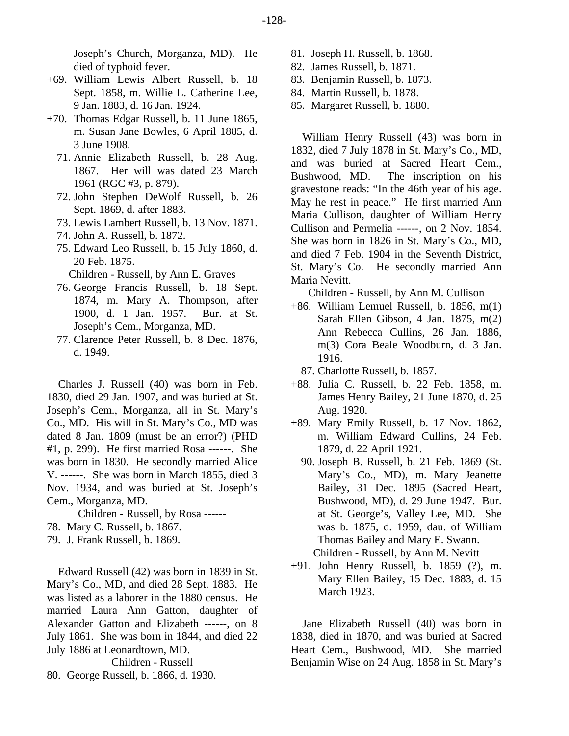Joseph's Church, Morganza, MD). He died of typhoid fever.

- +69. William Lewis Albert Russell, b. 18 Sept. 1858, m. Willie L. Catherine Lee, 9 Jan. 1883, d. 16 Jan. 1924.
- +70. Thomas Edgar Russell, b. 11 June 1865, m. Susan Jane Bowles, 6 April 1885, d. 3 June 1908.
	- 71. Annie Elizabeth Russell, b. 28 Aug. 1867. Her will was dated 23 March 1961 (RGC #3, p. 879).
	- 72. John Stephen DeWolf Russell, b. 26 Sept. 1869, d. after 1883.
	- 73. Lewis Lambert Russell, b. 13 Nov. 1871.
	- 74. John A. Russell, b. 1872.
	- 75. Edward Leo Russell, b. 15 July 1860, d. 20 Feb. 1875.
	- Children Russell, by Ann E. Graves
	- 76. George Francis Russell, b. 18 Sept. 1874, m. Mary A. Thompson, after 1900, d. 1 Jan. 1957. Bur. at St. Joseph's Cem., Morganza, MD.
	- 77. Clarence Peter Russell, b. 8 Dec. 1876, d. 1949.

Charles J. Russell (40) was born in Feb. 1830, died 29 Jan. 1907, and was buried at St. Joseph's Cem., Morganza, all in St. Mary's Co., MD. His will in St. Mary's Co., MD was dated 8 Jan. 1809 (must be an error?) (PHD #1, p. 299). He first married Rosa ------. She was born in 1830. He secondly married Alice V. ------. She was born in March 1855, died 3 Nov. 1934, and was buried at St. Joseph's Cem., Morganza, MD.

Children - Russell, by Rosa ------ 78. Mary C. Russell, b. 1867.

79. J. Frank Russell, b. 1869.

Edward Russell (42) was born in 1839 in St. Mary's Co., MD, and died 28 Sept. 1883. He was listed as a laborer in the 1880 census. He married Laura Ann Gatton, daughter of Alexander Gatton and Elizabeth ------, on 8 July 1861. She was born in 1844, and died 22 July 1886 at Leonardtown, MD. Children - Russell

80. George Russell, b. 1866, d. 1930.

- 81. Joseph H. Russell, b. 1868.
- 82. James Russell, b. 1871.
- 83. Benjamin Russell, b. 1873.
- 84. Martin Russell, b. 1878.
- 85. Margaret Russell, b. 1880.

William Henry Russell (43) was born in 1832, died 7 July 1878 in St. Mary's Co., MD, and was buried at Sacred Heart Cem., Bushwood, MD. The inscription on his gravestone reads: "In the 46th year of his age. May he rest in peace." He first married Ann Maria Cullison, daughter of William Henry Cullison and Permelia ------, on 2 Nov. 1854. She was born in 1826 in St. Mary's Co., MD, and died 7 Feb. 1904 in the Seventh District, St. Mary's Co. He secondly married Ann Maria Nevitt.

Children - Russell, by Ann M. Cullison

- +86. William Lemuel Russell, b. 1856, m(1) Sarah Ellen Gibson, 4 Jan. 1875, m(2) Ann Rebecca Cullins, 26 Jan. 1886, m(3) Cora Beale Woodburn, d. 3 Jan. 1916.
	- 87. Charlotte Russell, b. 1857.
- +88. Julia C. Russell, b. 22 Feb. 1858, m. James Henry Bailey, 21 June 1870, d. 25 Aug. 1920.
- +89. Mary Emily Russell, b. 17 Nov. 1862, m. William Edward Cullins, 24 Feb. 1879, d. 22 April 1921.
	- 90. Joseph B. Russell, b. 21 Feb. 1869 (St. Mary's Co., MD), m. Mary Jeanette Bailey, 31 Dec. 1895 (Sacred Heart, Bushwood, MD), d. 29 June 1947. Bur. at St. George's, Valley Lee, MD. She was b. 1875, d. 1959, dau. of William Thomas Bailey and Mary E. Swann. Children - Russell, by Ann M. Nevitt
- +91. John Henry Russell, b. 1859 (?), m. Mary Ellen Bailey, 15 Dec. 1883, d. 15 March 1923.

Jane Elizabeth Russell (40) was born in 1838, died in 1870, and was buried at Sacred Heart Cem., Bushwood, MD. She married Benjamin Wise on 24 Aug. 1858 in St. Mary's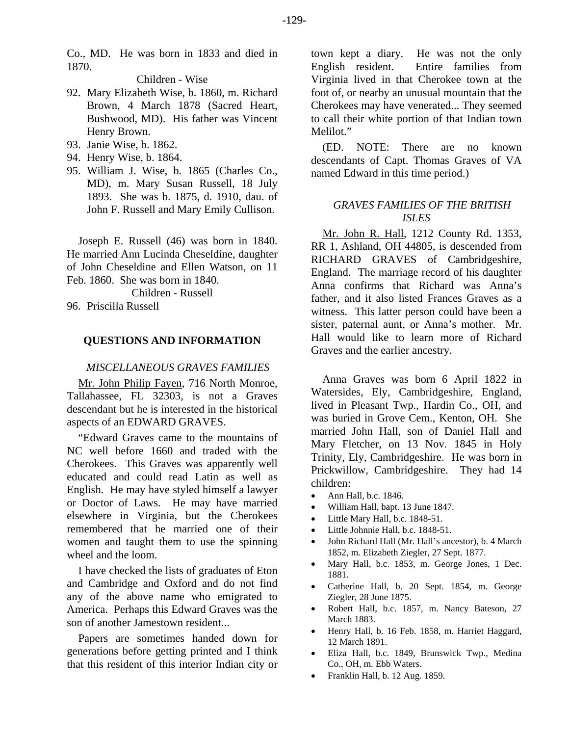Co., MD. He was born in 1833 and died in 1870.

Children - Wise

- 92. Mary Elizabeth Wise, b. 1860, m. Richard Brown, 4 March 1878 (Sacred Heart, Bushwood, MD). His father was Vincent Henry Brown.
- 93. Janie Wise, b. 1862.
- 94. Henry Wise, b. 1864.
- 95. William J. Wise, b. 1865 (Charles Co., MD), m. Mary Susan Russell, 18 July 1893. She was b. 1875, d. 1910, dau. of John F. Russell and Mary Emily Cullison.

Joseph E. Russell (46) was born in 1840. He married Ann Lucinda Cheseldine, daughter of John Cheseldine and Ellen Watson, on 11 Feb. 1860. She was born in 1840.

Children - Russell 96. Priscilla Russell

#### **QUESTIONS AND INFORMATION**

#### *MISCELLANEOUS GRAVES FAMILIES*

Mr. John Philip Fayen, 716 North Monroe, Tallahassee, FL 32303, is not a Graves descendant but he is interested in the historical aspects of an EDWARD GRAVES.

"Edward Graves came to the mountains of NC well before 1660 and traded with the Cherokees. This Graves was apparently well educated and could read Latin as well as English. He may have styled himself a lawyer or Doctor of Laws. He may have married elsewhere in Virginia, but the Cherokees remembered that he married one of their women and taught them to use the spinning wheel and the loom.

I have checked the lists of graduates of Eton and Cambridge and Oxford and do not find any of the above name who emigrated to America. Perhaps this Edward Graves was the son of another Jamestown resident...

Papers are sometimes handed down for generations before getting printed and I think that this resident of this interior Indian city or town kept a diary. He was not the only English resident. Entire families from Virginia lived in that Cherokee town at the foot of, or nearby an unusual mountain that the Cherokees may have venerated... They seemed to call their white portion of that Indian town Melilot."

(ED. NOTE: There are no known descendants of Capt. Thomas Graves of VA named Edward in this time period.)

# *GRAVES FAMILIES OF THE BRITISH ISLES*

Mr. John R. Hall, 1212 County Rd. 1353, RR 1, Ashland, OH 44805, is descended from RICHARD GRAVES of Cambridgeshire, England. The marriage record of his daughter Anna confirms that Richard was Anna's father, and it also listed Frances Graves as a witness. This latter person could have been a sister, paternal aunt, or Anna's mother. Mr. Hall would like to learn more of Richard Graves and the earlier ancestry.

Anna Graves was born 6 April 1822 in Watersides, Ely, Cambridgeshire, England, lived in Pleasant Twp., Hardin Co., OH, and was buried in Grove Cem., Kenton, OH. She married John Hall, son of Daniel Hall and Mary Fletcher, on 13 Nov. 1845 in Holy Trinity, Ely, Cambridgeshire. He was born in Prickwillow, Cambridgeshire. They had 14 children:

- Ann Hall, b.c. 1846.
- William Hall, bapt. 13 June 1847.
- Little Mary Hall, b.c. 1848-51.
- Little Johnnie Hall, b.c. 1848-51.
- John Richard Hall (Mr. Hall's ancestor), b. 4 March 1852, m. Elizabeth Ziegler, 27 Sept. 1877.
- Mary Hall, b.c. 1853, m. George Jones, 1 Dec. 1881.
- Catherine Hall, b. 20 Sept. 1854, m. George Ziegler, 28 June 1875.
- Robert Hall, b.c. 1857, m. Nancy Bateson, 27 March 1883.
- Henry Hall, b. 16 Feb. 1858, m. Harriet Haggard, 12 March 1891.
- Eliza Hall, b.c. 1849, Brunswick Twp., Medina Co., OH, m. Ebb Waters.
- Franklin Hall, b. 12 Aug. 1859.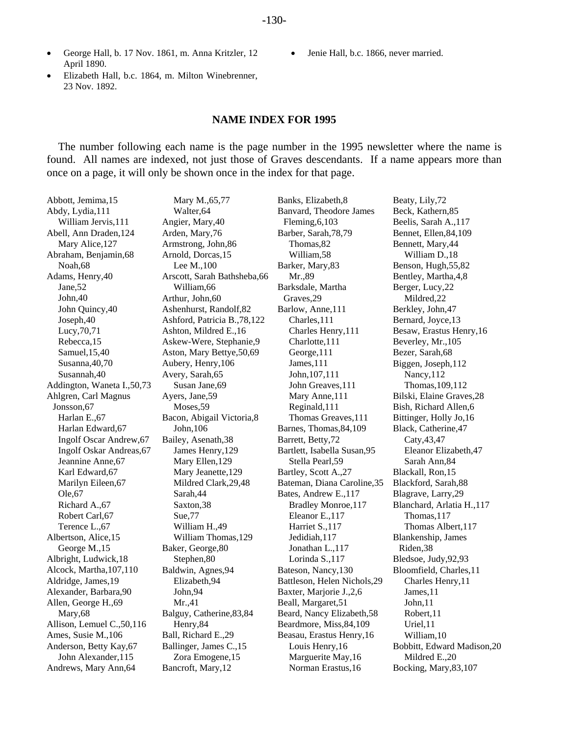• Jenie Hall, b.c. 1866, never married.

- George Hall, b. 17 Nov. 1861, m. Anna Kritzler, 12 April 1890.
- Elizabeth Hall, b.c. 1864, m. Milton Winebrenner, 23 Nov. 1892.

# **NAME INDEX FOR 1995**

The number following each name is the page number in the 1995 newsletter where the name is found. All names are indexed, not just those of Graves descendants. If a name appears more than once on a page, it will only be shown once in the index for that page.

| Abbott, Jemima, 15           | Mary M., 65,77                | Banks, Elizabeth, 8          | Beaty, Lily,72              |
|------------------------------|-------------------------------|------------------------------|-----------------------------|
| Abdy, Lydia, 111             | Walter, 64                    | Banvard, Theodore James      | Beck, Kathern, 85           |
| William Jervis, 111          | Angier, Mary, 40              | Fleming, $6,103$             | Beelis, Sarah A., 117       |
| Abell, Ann Draden, 124       | Arden, Mary, 76               | Barber, Sarah, 78, 79        | Bennet, Ellen, 84, 109      |
| Mary Alice, 127              | Armstrong, John, 86           | Thomas, 82                   | Bennett, Mary, 44           |
| Abraham, Benjamin, 68        | Arnold, Dorcas, 15            | William, 58                  | William D., 18              |
| Noah, 68                     | Lee M., 100                   | Barker, Mary, 83             | Benson, Hugh, 55, 82        |
| Adams, Henry, 40             | Arscott, Sarah Bathsheba, 66  | Mr.,89                       | Bentley, Martha, 4,8        |
| Jane, 52                     | William, 66                   | Barksdale, Martha            | Berger, Lucy, 22            |
| John, 40                     | Arthur, John, 60              | Graves, 29                   | Mildred, 22                 |
| John Quincy, 40              | Ashenhurst, Randolf, 82       | Barlow, Anne, 111            | Berkley, John, 47           |
| Joseph, 40                   | Ashford, Patricia B., 78, 122 | Charles, 111                 | Bernard, Joyce, 13          |
| Lucy, 70, 71                 | Ashton, Mildred E., 16        | Charles Henry, 111           | Besaw, Erastus Henry, 16    |
| Rebecca, 15                  | Askew-Were, Stephanie, 9      | Charlotte, 111               | Beverley, Mr., 105          |
| Samuel, 15,40                | Aston, Mary Bettye, 50, 69    | George, 111                  | Bezer, Sarah, 68            |
| Susanna, 40,70               | Aubery, Henry, 106            | James, 111                   | Biggen, Joseph, 112         |
| Susannah, 40                 | Avery, Sarah, 65              | John, 107, 111               | Nancy, 112                  |
| Addington, Waneta I., 50, 73 | Susan Jane, 69                | John Greaves, 111            | Thomas, 109, 112            |
| Ahlgren, Carl Magnus         | Ayers, Jane, 59               | Mary Anne, 111               | Bilski, Elaine Graves, 28   |
| Jonsson, 67                  | Moses, 59                     | Reginald, 111                | Bish, Richard Allen, 6      |
| Harlan E., 67                | Bacon, Abigail Victoria, 8    | Thomas Greaves, 111          | Bittinger, Holly Jo, 16     |
| Harlan Edward, 67            | John, 106                     | Barnes, Thomas, 84, 109      | Black, Catherine, 47        |
| Ingolf Oscar Andrew, 67      | Bailey, Asenath, 38           | Barrett, Betty,72            | Caty, 43, 47                |
| Ingolf Oskar Andreas, 67     | James Henry, 129              | Bartlett, Isabella Susan, 95 | Eleanor Elizabeth, 47       |
| Jeannine Anne, 67            | Mary Ellen, 129               | Stella Pearl, 59             | Sarah Ann, 84               |
| Karl Edward, 67              | Mary Jeanette, 129            | Bartley, Scott A., 27        | Blackall, Ron, 15           |
| Marilyn Eileen, 67           | Mildred Clark, 29, 48         | Bateman, Diana Caroline, 35  | Blackford, Sarah, 88        |
| Ole, 67                      | Sarah, 44                     | Bates, Andrew E., 117        | Blagrave, Larry, 29         |
| Richard A., 67               | Saxton, 38                    | Bradley Monroe, 117          | Blanchard, Arlatia H., 117  |
| Robert Carl, 67              | Sue,77                        | Eleanor E., 117              | Thomas, 117                 |
| Terence L., 67               | William H.,49                 | Harriet S., 117              | Thomas Albert, 117          |
| Albertson, Alice, 15         | William Thomas, 129           | Jedidiah, 117                | Blankenship, James          |
| George M., 15                | Baker, George, 80             | Jonathan L., 117             | Riden, 38                   |
| Albright, Ludwick, 18        | Stephen,80                    | Lorinda S., 117              | Bledsoe, Judy, 92, 93       |
| Alcock, Martha, 107, 110     | Baldwin, Agnes, 94            | Bateson, Nancy, 130          | Bloomfield, Charles, 11     |
| Aldridge, James, 19          | Elizabeth, 94                 | Battleson, Helen Nichols, 29 | Charles Henry, 11           |
| Alexander, Barbara, 90       | John, 94                      | Baxter, Marjorie J., 2, 6    | James, 11                   |
| Allen, George H., 69         | Mr.41                         | Beall, Margaret, 51          | John, 11                    |
| Mary, 68                     | Balguy, Catherine, 83, 84     | Beard, Nancy Elizabeth, 58   | Robert, 11                  |
| Allison, Lemuel C., 50, 116  | Henry, 84                     | Beardmore, Miss, 84, 109     | Uriel,11                    |
| Ames, Susie M., 106          | Ball, Richard E., 29          | Beasau, Erastus Henry, 16    | William, 10                 |
| Anderson, Betty Kay, 67      | Ballinger, James C., 15       | Louis Henry, 16              | Bobbitt, Edward Madison, 20 |
| John Alexander, 115          | Zora Emogene, 15              | Marguerite May, 16           | Mildred E.,20               |
| Andrews, Mary Ann, 64        | Bancroft, Mary, 12            | Norman Erastus, 16           | Bocking, Mary, 83, 107      |
|                              |                               |                              |                             |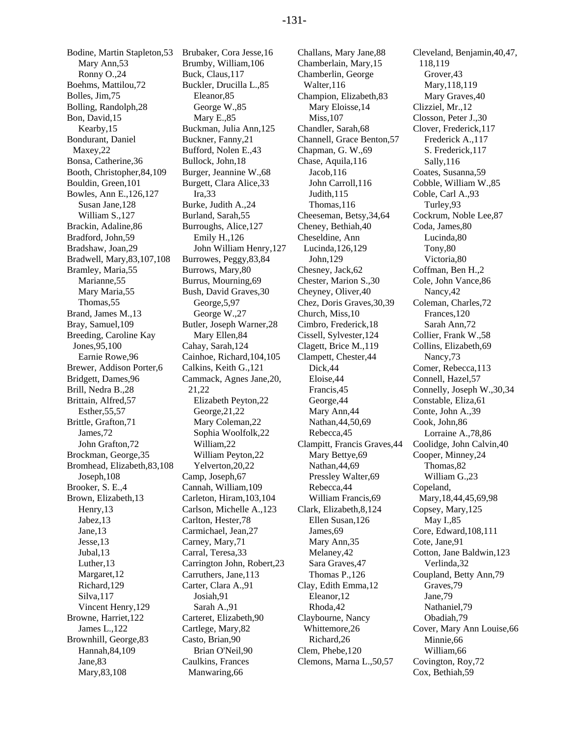Bodine, Martin Stapleton,53 Mary Ann,53 Ronny O.,24 Boehms, Mattilou,72 Bolles, Jim,75 Bolling, Randolph,28 Bon, David,15 Kearby,15 Bondurant, Daniel Maxey,22 Bonsa, Catherine,36 Booth, Christopher,84,109 Bouldin, Green,101 Bowles, Ann E.,126,127 Susan Jane,128 William S.,127 Brackin, Adaline,86 Bradford, John,59 Bradshaw, Joan,29 Bradwell, Mary,83,107,108 Bramley, Maria,55 Marianne,55 Mary Maria,55 Thomas,55 Brand, James M.,13 Bray, Samuel,109 Breeding, Caroline Kay Jones,95,100 Earnie Rowe,96 Brewer, Addison Porter,6 Bridgett, Dames,96 Brill, Nedra B.,28 Brittain, Alfred,57 Esther,55,57 Brittle, Grafton,71 James,72 John Grafton,72 Brockman, George,35 Bromhead, Elizabeth,83,108 Joseph,108 Brooker, S. E.,4 Brown, Elizabeth,13 Henry,13 Jabez,13 Jane,13 Jesse,13 Jubal,13 Luther,13 Margaret,12 Richard,129 Silva,117 Vincent Henry,129 Browne, Harriet,122 James L.,122 Brownhill, George,83 Hannah,84,109 Jane,83 Mary,83,108

Brubaker, Cora Jesse,16 Brumby, William,106 Buck, Claus,117 Buckler, Drucilla L.,85 Eleanor,85 George W.,85 Mary E.,85 Buckman, Julia Ann,125 Buckner, Fanny,21 Bufford, Nolen E.,43 Bullock, John,18 Burger, Jeannine W.,68 Burgett, Clara Alice,33 Ira,33 Burke, Judith A.,24 Burland, Sarah,55 Burroughs, Alice,127 Emily H.,126 John William Henry,127 Burrowes, Peggy,83,84 Burrows, Mary,80 Burrus, Mourning,69 Bush, David Graves,30 George,5,97 George W.,27 Butler, Joseph Warner,28 Mary Ellen,84 Cahay, Sarah,124 Cainhoe, Richard,104,105 Calkins, Keith G.,121 Cammack, Agnes Jane,20, 21,22 Elizabeth Peyton,22 George,21,22 Mary Coleman,22 Sophia Woolfolk,22 William,22 William Peyton,22 Yelverton,20,22 Camp, Joseph,67 Cannah, William,109 Carleton, Hiram,103,104 Carlson, Michelle A.,123 Carlton, Hester,78 Carmichael, Jean,27 Carney, Mary,71 Carral, Teresa,33 Carrington John, Robert,23 Carruthers, Jane,113 Carter, Clara A.,91 Josiah,91 Sarah A.,91 Carteret, Elizabeth,90 Cartlege, Mary,82 Casto, Brian,90 Brian O'Neil,90 Caulkins, Frances Manwaring,66

Challans, Mary Jane,88 Chamberlain, Mary,15 Chamberlin, George Walter,116 Champion, Elizabeth,83 Mary Eloisse,14 Miss,107 Chandler, Sarah,68 Channell, Grace Benton,57 Chapman, G. W.,69 Chase, Aquila,116 Jacob,116 John Carroll,116 Judith,115 Thomas,116 Cheeseman, Betsy,34,64 Cheney, Bethiah,40 Cheseldine, Ann Lucinda,126,129 John,129 Chesney, Jack,62 Chester, Marion S.,30 Cheyney, Oliver,40 Chez, Doris Graves,30,39 Church, Miss,10 Cimbro, Frederick,18 Cissell, Sylvester,124 Clagett, Brice M.,119 Clampett, Chester,44 Dick,44 Eloise,44 Francis,45 George,44 Mary Ann,44 Nathan,44,50,69 Rebecca,45 Clampitt, Francis Graves,44 Mary Bettye,69 Nathan,44,69 Pressley Walter,69 Rebecca,44 William Francis,69 Clark, Elizabeth,8,124 Ellen Susan,126 James,69 Mary Ann,35 Melaney,42 Sara Graves,47 Thomas P.,126 Clay, Edith Emma,12 Eleanor,12 Rhoda,42 Claybourne, Nancy Whittemore,26 Richard,26 Clem, Phebe,120 Clemons, Marna L.,50,57

Cleveland, Benjamin,40,47, 118,119 Grover,43 Mary,118,119 Mary Graves,40 Clizziel, Mr.,12 Closson, Peter J.,30 Clover, Frederick,117 Frederick A.,117 S. Frederick,117 Sally,116 Coates, Susanna,59 Cobble, William W.,85 Coble, Carl A.,93 Turley,93 Cockrum, Noble Lee,87 Coda, James,80 Lucinda,80 Tony,80 Victoria,80 Coffman, Ben H.,2 Cole, John Vance,86 Nancy,42 Coleman, Charles,72 Frances,120 Sarah Ann,72 Collier, Frank W.,58 Collins, Elizabeth,69 Nancy,73 Comer, Rebecca,113 Connell, Hazel,57 Connelly, Joseph W.,30,34 Constable, Eliza,61 Conte, John A.,39 Cook, John,86 Lorraine A.,78,86 Coolidge, John Calvin,40 Cooper, Minney,24 Thomas,82 William G.,23 Copeland, Mary,18,44,45,69,98 Copsey, Mary,125 May I.,85 Core, Edward,108,111 Cote, Jane,91 Cotton, Jane Baldwin,123 Verlinda,32 Coupland, Betty Ann,79 Graves,79 Jane,79 Nathaniel,79 Obadiah,79 Cover, Mary Ann Louise,66 Minnie,66 William,66 Covington, Roy,72 Cox, Bethiah,59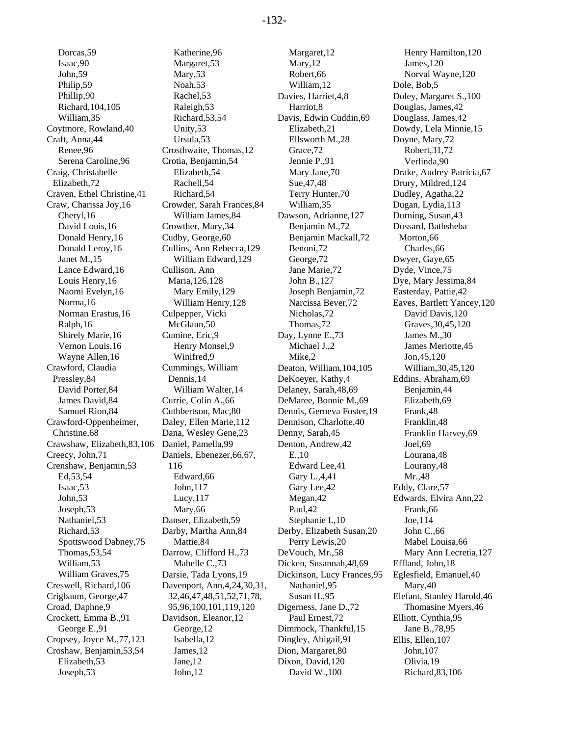Dorcas,59 Isaac,90 John,59 Philip,59 Phillip,90 Richard,104,105 William,35 Coytmore, Rowland,40 Craft, Anna,44 Renee,96 Serena Caroline,96 Craig, Christabelle Elizabeth,72 Craven, Ethel Christine,41 Craw, Charissa Joy,16 Cheryl,16 David Louis,16 Donald Henry,16 Donald Leroy,16 Janet M.,15 Lance Edward,16 Louis Henry,16 Naomi Evelyn,16 Norma,16 Norman Erastus,16 Ralph,16 Shirely Marie,16 Vernon Louis,16 Wayne Allen,16 Crawford, Claudia Pressley,84 David Porter,84 James David,84 Samuel Rion,84 Crawford-Oppenheimer, Christine,68 Crawshaw, Elizabeth,83,106 Creecy, John,71 Crenshaw, Benjamin,53 Ed,53,54 Isaac,53 John,53 Joseph,53 Nathaniel,53 Richard,53 Spottswood Dabney,75 Thomas,53,54 William,53 William Graves,75 Creswell, Richard,106 Crigbaum, George,47 Croad, Daphne,9 Crockett, Emma B.,91 George E.,91 Cropsey, Joyce M.,77,123 Croshaw, Benjamin,53,54 Elizabeth,53 Joseph,53

Katherine,96 Margaret,53 Mary,53 Noah,53 Rachel,53 Raleigh,53 Richard,53,54 Unity,53 Ursula,53 Crosthwaite, Thomas,12 Crotia, Benjamin,54 Elizabeth,54 Rachell,54 Richard,54 Crowder, Sarah Frances,84 William James,84 Crowther, Mary,34 Cudby, George,60 Cullins, Ann Rebecca,129 William Edward,129 Cullison, Ann Maria,126,128 Mary Emily,129 William Henry,128 Culpepper, Vicki McGlaun.50 Cumine, Eric,9 Henry Monsel,9 Winifred,9 Cummings, William Dennis,14 William Walter,14 Currie, Colin A.,66 Cuthbertson, Mac,80 Daley, Ellen Marie,112 Dana, Wesley Gene,23 Daniel, Pamella,99 Daniels, Ebenezer,66,67, 116 Edward,66 John,117 Lucy,117 Mary,66 Danser, Elizabeth,59 Darby, Martha Ann,84 Mattie,84 Darrow, Clifford H.,73 Mabelle C.,73 Darsie, Tada Lyons,19 Davenport, Ann,4,24,30,31, 32,46,47,48,51,52,71,78, 95,96,100,101,119,120 Davidson, Eleanor,12 George,12 Isabella,12 James,12 Jane,12 John,12

Margaret,12 Mary,12 Robert,66 William,12 Davies, Harriet,4,8 Harriot,8 Davis, Edwin Cuddin,69 Elizabeth,21 Ellsworth M.,28 Grace,72 Jennie P.,91 Mary Jane,70 Sue,47,48 Terry Hunter,70 William,35 Dawson, Adrianne,127 Benjamin M.,72 Benjamin Mackall,72 Benoni,72 George,72 Jane Marie,72 John B.,127 Joseph Benjamin,72 Narcissa Bever,72 Nicholas,72 Thomas,72 Day, Lynne E.,73 Michael J.,2 Mike,2 Deaton, William,104,105 DeKoeyer, Kathy,4 Delaney, Sarah,48,69 DeMaree, Bonnie M.,69 Dennis, Gerneva Foster,19 Dennison, Charlotte,40 Denny, Sarah,45 Denton, Andrew,42 E.,10 Edward Lee,41 Gary L.,4,41 Gary Lee,42 Megan,42 Paul,42 Stephanie I.,10 Derby, Elizabeth Susan,20 Perry Lewis,20 DeVouch, Mr.,58 Dicken, Susannah,48,69 Dickinson, Lucy Frances,95 Nathaniel,95 Susan H.,95 Digerness, Jane D.,72 Paul Ernest,72 Dimmock, Thankful,15 Dingley, Abigail,91 Dion, Margaret,80 Dixon, David,120 David W.,100

Henry Hamilton,120 James,120 Norval Wayne,120 Dole, Bob,5 Doley, Margaret S.,100 Douglas, James,42 Douglass, James,42 Dowdy, Lela Minnie,15 Doyne, Mary,72 Robert,31,72 Verlinda,90 Drake, Audrey Patricia,67 Drury, Mildred,124 Dudley, Agatha,22 Dugan, Lydia,113 Durning, Susan,43 Dussard, Bathsheba Morton,66 Charles,66 Dwyer, Gaye,65 Dyde, Vince,75 Dye, Mary Jessima,84 Easterday, Pattie,42 Eaves, Bartlett Yancey,120 David Davis,120 Graves,30,45,120 James M.,30 James Meriotte,45 Jon,45,120 William,30,45,120 Eddins, Abraham,69 Benjamin,44 Elizabeth,69 Frank,48 Franklin,48 Franklin Harvey,69 Joel,69 Lourana,48 Lourany,48 Mr.,48 Eddy, Clare,57 Edwards, Elvira Ann,22 Frank,66 Joe,114 John C.,66 Mabel Louisa,66 Mary Ann Lecretia,127 Effland, John,18 Eglesfield, Emanuel,40 Mary,40 Elefant, Stanley Harold,46 Thomasine Myers,46 Elliott, Cynthia,95 Jane B.,78,95 Ellis, Ellen,107 John,107 Olivia,19 Richard,83,106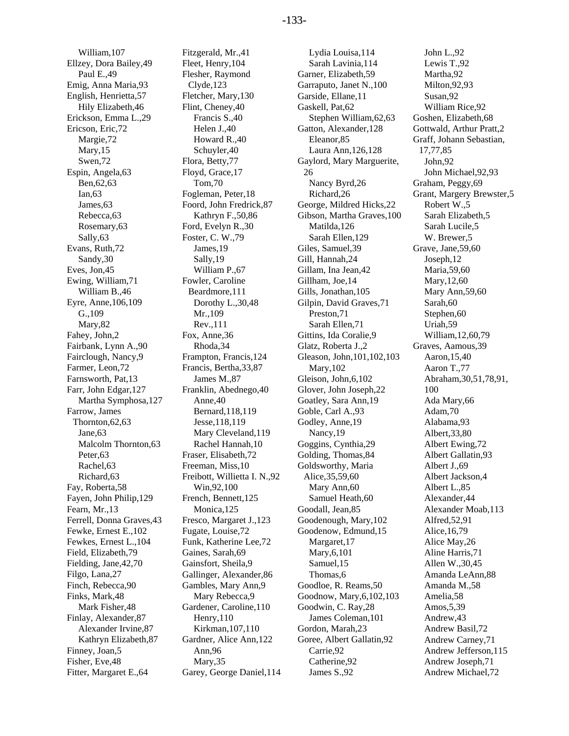William,107 Ellzey, Dora Bailey,49 Paul E.,49 Emig, Anna Maria,93 English, Henrietta,57 Hily Elizabeth,46 Erickson, Emma L.,29 Ericson, Eric,72 Margie,72 Mary,15 Swen,72 Espin, Angela,63 Ben,62,63 Ian,63 James,63 Rebecca,63 Rosemary,63 Sally,63 Evans, Ruth,72 Sandy,30 Eves, Jon,45 Ewing, William,71 William B.,46 Eyre, Anne,106,109 G.,109 Mary,82 Fahey, John,2 Fairbank, Lynn A.,90 Fairclough, Nancy,9 Farmer, Leon,72 Farnsworth, Pat,13 Farr, John Edgar,127 Martha Symphosa,127 Farrow, James Thornton,62,63 Jane,63 Malcolm Thornton,63 Peter,63 Rachel,63 Richard,63 Fay, Roberta,58 Fayen, John Philip,129 Fearn, Mr.,13 Ferrell, Donna Graves,43 Fewke, Ernest E.,102 Fewkes, Ernest L.,104 Field, Elizabeth,79 Fielding, Jane,42,70 Filgo, Lana,27 Finch, Rebecca,90 Finks, Mark,48 Mark Fisher,48 Finlay, Alexander,87 Alexander Irvine,87 Kathryn Elizabeth,87 Finney, Joan,5 Fisher, Eve,48 Fitter, Margaret E.,64

Fitzgerald, Mr.,41 Fleet, Henry,104 Flesher, Raymond Clyde,123 Fletcher, Mary,130 Flint, Cheney,40 Francis S.,40 Helen J.,40 Howard R.,40 Schuyler,40 Flora, Betty,77 Floyd, Grace,17 Tom,70 Fogleman, Peter,18 Foord, John Fredrick,87 Kathryn F.,50,86 Ford, Evelyn R.,30 Foster, C. W.,79 James,19 Sally,19 William P.,67 Fowler, Caroline Beardmore,111 Dorothy L.,30,48 Mr.,109 Rev.,111 Fox, Anne,36 Rhoda,34 Frampton, Francis,124 Francis, Bertha,33,87 James M.,87 Franklin, Abednego,40 Anne,40 Bernard,118,119 Jesse,118,119 Mary Cleveland,119 Rachel Hannah,10 Fraser, Elisabeth,72 Freeman, Miss,10 Freibott, Willietta I. N.,92 Win,92,100 French, Bennett,125 Monica,125 Fresco, Margaret J.,123 Fugate, Louise,72 Funk, Katherine Lee,72 Gaines, Sarah,69 Gainsfort, Sheila,9 Gallinger, Alexander,86 Gambles, Mary Ann,9 Mary Rebecca,9 Gardener, Caroline,110 Henry,110 Kirkman,107,110 Gardner, Alice Ann,122 Ann,96 Mary,35 Garey, George Daniel,114

Lydia Louisa,114 Sarah Lavinia,114 Garner, Elizabeth,59 Garraputo, Janet N.,100 Garside, Ellane,11 Gaskell, Pat,62 Stephen William,62,63 Gatton, Alexander,128 Eleanor,85 Laura Ann,126,128 Gaylord, Mary Marguerite, 26 Nancy Byrd,26 Richard,26 George, Mildred Hicks,22 Gibson, Martha Graves,100 Matilda,126 Sarah Ellen,129 Giles, Samuel,39 Gill, Hannah,24 Gillam, Ina Jean,42 Gillham, Joe,14 Gills, Jonathan,105 Gilpin, David Graves,71 Preston,71 Sarah Ellen,71 Gittins, Ida Coralie,9 Glatz, Roberta J.,2 Gleason, John,101,102,103 Mary,102 Gleison, John,6,102 Glover, John Joseph,22 Goatley, Sara Ann,19 Goble, Carl A.,93 Godley, Anne,19 Nancy,19 Goggins, Cynthia,29 Golding, Thomas,84 Goldsworthy, Maria Alice,35,59,60 Mary Ann,60 Samuel Heath,60 Goodall, Jean,85 Goodenough, Mary,102 Goodenow, Edmund,15 Margaret,17 Mary,6,101 Samuel,15 Thomas,6 Goodloe, R. Reams,50 Goodnow, Mary,6,102,103 Goodwin, C. Ray,28 James Coleman,101 Gordon, Marah,23 Goree, Albert Gallatin,92 Carrie,92 Catherine,92 James S.,92

John L.,92 Lewis T.,92 Martha,92 Milton,92,93 Susan,92 William Rice,92 Goshen, Elizabeth,68 Gottwald, Arthur Pratt,2 Graff, Johann Sebastian, 17,77,85 John,92 John Michael,92,93 Graham, Peggy,69 Grant, Margery Brewster,5 Robert W.,5 Sarah Elizabeth,5 Sarah Lucile,5 W. Brewer,5 Grave, Jane,59,60 Joseph,12 Maria,59,60 Mary,12,60 Mary Ann,59,60 Sarah,60 Stephen,60 Uriah,59 William,12,60,79 Graves, Aamous,39 Aaron,15,40 Aaron T.,77 Abraham,30,51,78,91, 100 Ada Mary,66 Adam,70 Alabama,93 Albert,33,80 Albert Ewing,72 Albert Gallatin,93 Albert J.,69 Albert Jackson,4 Albert L.,85 Alexander,44 Alexander Moab,113 Alfred,52,91 Alice,16,79 Alice May,26 Aline Harris,71 Allen W.,30,45 Amanda LeAnn,88 Amanda M.,58 Amelia,58 Amos,5,39 Andrew,43 Andrew Basil,72 Andrew Carney,71 Andrew Jefferson,115 Andrew Joseph,71 Andrew Michael,72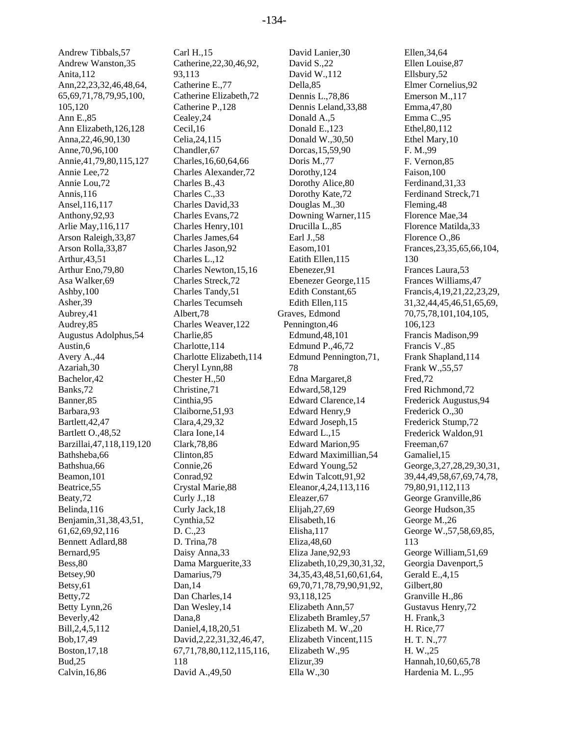Andrew Tibbals,57 Andrew Wanston,35 Anita,112 Ann,22,23,32,46,48,64, 65,69,71,78,79,95,100, 105,120 Ann E.,85 Ann Elizabeth,126,128 Anna,22,46,90,130 Anne,70,96,100 Annie,41,79,80,115,127 Annie Lee,72 Annie Lou,72 Annis,116 Ansel,116,117 Anthony,92,93 Arlie May,116,117 Arson Raleigh,33,87 Arson Rolla,33,87 Arthur,43,51 Arthur Eno,79,80 Asa Walker,69 Ashby,100 Asher,39 Aubrey,41 Audrey,85 Augustus Adolphus,54 Austin,6 Avery A.,44 Azariah,30 Bachelor,42 Banks,72 Banner,85 Barbara,93 Bartlett,42,47 Bartlett O.,48,52 Barzillai,47,118,119,120 Bathsheba,66 Bathshua,66 Beamon,101 Beatrice,55 Beaty,72 Belinda,116 Benjamin,31,38,43,51, 61,62,69,92,116 Bennett Adlard,88 Bernard,95 Bess,80 Betsey,90 Betsy,61 Betty,72 Betty Lynn,26 Beverly,42 Bill,2,4,5,112 Bob,17,49 Boston,17,18 Bud,25 Calvin,16,86

Carl H.,15 Catherine,22,30,46,92, 93,113 Catherine E.,77 Catherine Elizabeth,72 Catherine P.,128 Cealey,24 Cecil,16 Celia,24,115 Chandler,67 Charles,16,60,64,66 Charles Alexander,72 Charles B.,43 Charles C.,33 Charles David,33 Charles Evans,72 Charles Henry,101 Charles James,64 Charles Jason,92 Charles L.,12 Charles Newton,15,16 Charles Streck,72 Charles Tandy,51 Charles Tecumseh Albert,78 Charles Weaver,122 Charlie,85 Charlotte,114 Charlotte Elizabeth,114 Cheryl Lynn,88 Chester H.,50 Christine,71 Cinthia,95 Claiborne,51,93 Clara,4,29,32 Clara Ione,14 Clark,78,86 Clinton,85 Connie,26 Conrad,92 Crystal Marie,88 Curly J.,18 Curly Jack,18 Cynthia,52 D. C.,23 D. Trina,78 Daisy Anna,33 Dama Marguerite,33 Damarius,79 Dan,14 Dan Charles,14 Dan Wesley,14 Dana,8 Daniel,4,18,20,51 David,2,22,31,32,46,47, 67,71,78,80,112,115,116, 118 David A.,49,50

David Lanier,30 David S.,22 David W.,112 Della,85 Dennis L.,78,86 Dennis Leland,33,88 Donald A.,5 Donald E.,123 Donald W.,30,50 Dorcas,15,59,90 Doris M.,77 Dorothy,124 Dorothy Alice,80 Dorothy Kate,72 Douglas M.,30 Downing Warner,115 Drucilla L.,85 Earl J.,58 Easom,101 Eatith Ellen,115 Ebenezer,91 Ebenezer George,115 Edith Constant,65 Edith Ellen,115 Graves, Edmond Pennington,46 Edmund,48,101 Edmund P.,46,72 Edmund Pennington,71, 78 Edna Margaret,8 Edward,58,129 Edward Clarence,14 Edward Henry,9 Edward Joseph,15 Edward L.,15 Edward Marion,95 Edward Maximillian,54 Edward Young,52 Edwin Talcott,91,92 Eleanor,4,24,113,116 Eleazer,67 Elijah,27,69 Elisabeth,16 Elisha,117 Eliza,48,60 Eliza Jane,92,93 Elizabeth,10,29,30,31,32, 34,35,43,48,51,60,61,64, 69,70,71,78,79,90,91,92, 93,118,125 Elizabeth Ann,57 Elizabeth Bramley,57 Elizabeth M. W.,20 Elizabeth Vincent,115 Elizabeth W.,95 Elizur,39 Ella W.,30

Ellen,34,64 Ellen Louise,87 Ellsbury,52 Elmer Cornelius,92 Emerson M.,117 Emma,47,80 Emma C.,95 Ethel,80,112 Ethel Mary,10 F. M.,99 F. Vernon,85 Faison,100 Ferdinand,31,33 Ferdinand Streck,71 Fleming,48 Florence Mae,34 Florence Matilda,33 Florence O.,86 Frances,23,35,65,66,104, 130 Frances Laura,53 Frances Williams,47 Francis,4,19,21,22,23,29, 31,32,44,45,46,51,65,69, 70,75,78,101,104,105, 106,123 Francis Madison,99 Francis V.,85 Frank Shapland,114 Frank W.,55,57 Fred,72 Fred Richmond,72 Frederick Augustus,94 Frederick O.,30 Frederick Stump,72 Frederick Waldon,91 Freeman,67 Gamaliel,15 George,3,27,28,29,30,31, 39,44,49,58,67,69,74,78, 79,80,91,112,113 George Granville,86 George Hudson,35 George M.,26 George W.,57,58,69,85, 113 George William,51,69 Georgia Davenport,5 Gerald E.,4,15 Gilbert,80 Granville H.,86 Gustavus Henry,72 H. Frank,3 H. Rice,77 H. T. N.,77 H. W.,25 Hannah,10,60,65,78 Hardenia M. L.,95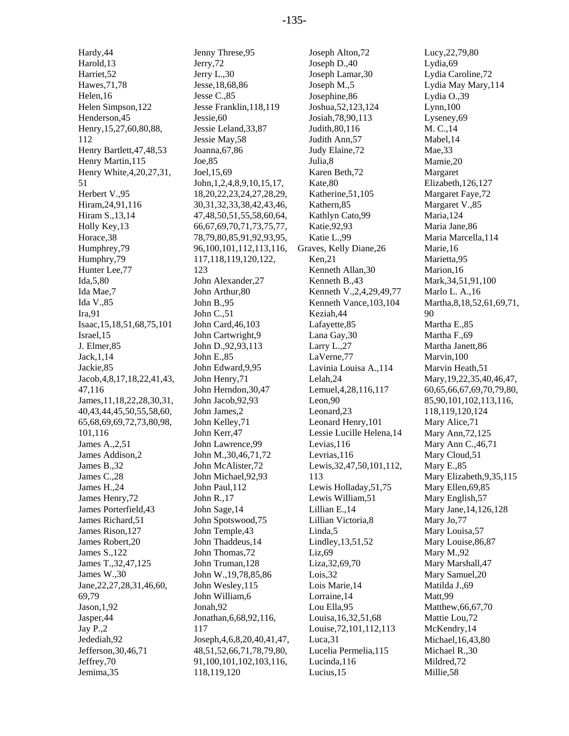Hardy,44 Harold,13 Harriet,52 Hawes,71,78 Helen,16 Helen Simpson,122 Henderson,45 Henry,15,27,60,80,88, 112 Henry Bartlett,47,48,53 Henry Martin,115 Henry White,4,20,27,31, 51 Herbert V.,95 Hiram,24,91,116 Hiram S.,13,14 Holly Key,13 Horace,38 Humphrey,79 Humphry,79 Hunter Lee,77 Ida,5,80 Ida Mae,7 Ida V.,85 Ira,91 Isaac,15,18,51,68,75,101 Israel,15 J. Elmer,85 Jack,1,14 Jackie,85 Jacob,4,8,17,18,22,41,43, 47,116 James,11,18,22,28,30,31, 40,43,44,45,50,55,58,60, 65,68,69,69,72,73,80,98, 101,116 James A.,2,51 James Addison,2 James B.,32 James C.,28 James H.,24 James Henry,72 James Porterfield,43 James Richard,51 James Rison,127 James Robert,20 James S.,122 James T.,32,47,125 James W.,30 Jane,22,27,28,31,46,60, 69,79 Jason,1,92 Jasper,44 Jay P.,2 Jedediah,92 Jefferson,30,46,71 Jeffrey,70 Jemima,35

Jenny Threse,95 Jerry,72 Jerry L.,30 Jesse,18,68,86 Jesse C.,85 Jesse Franklin,118,119 Jessie,60 Jessie Leland,33,87 Jessie May,58 Joanna,67,86 Joe,85 Joel,15,69 John,1,2,4,8,9,10,15,17, 18,20,22,23,24,27,28,29, 30,31,32,33,38,42,43,46, 47,48,50,51,55,58,60,64, 66,67,69,70,71,73,75,77, 78,79,80,85,91,92,93,95, 96,100,101,112,113,116, 117,118,119,120,122, 123 John Alexander,27 John Arthur,80 John B.,95 John C.,51 John Card,46,103 John Cartwright,9 John D.,92,93,113 John E.,85 John Edward,9,95 John Henry,71 John Herndon,30,47 John Jacob,92,93 John James,2 John Kelley,71 John Kerr,47 John Lawrence,99 John M.,30,46,71,72 John McAlister,72 John Michael,92,93 John Paul,112 John R.,17 John Sage,14 John Spotswood,75 John Temple,43 John Thaddeus,14 John Thomas,72 John Truman,128 John W.,19,78,85,86 John Wesley,115 John William,6 Jonah,92 Jonathan,6,68,92,116, 117 Joseph,4,6,8,20,40,41,47, 48,51,52,66,71,78,79,80, 91,100,101,102,103,116, 118,119,120

Joseph Alton,72 Joseph D.,40 Joseph Lamar,30 Joseph M.,5 Josephine,86 Joshua,52,123,124 Josiah,78,90,113 Judith,80,116 Judith Ann,57 Judy Elaine,72 Julia,8 Karen Beth,72 Kate,80 Katherine,51,105 Kathern,85 Kathlyn Cato,99 Katie,92,93 Katie L.,99 Graves, Kelly Diane,26 Ken,21 Kenneth Allan,30 Kenneth B.,43 Kenneth V.,2,4,29,49,77 Kenneth Vance,103,104 Keziah,44 Lafayette,85 Lana Gay,30 Larry L.,27 LaVerne,77 Lavinia Louisa A.,114 Lelah,24 Lemuel,4,28,116,117 Leon,90 Leonard,23 Leonard Henry,101 Lessie Lucille Helena,14 Levias,116 Levrias,116 Lewis,32,47,50,101,112, 113 Lewis Holladay,51,75 Lewis William,51 Lillian E.,14 Lillian Victoria,8 Linda,5 Lindley,13,51,52 Liz,69 Liza,32,69,70 Lois,32 Lois Marie,14 Lorraine,14 Lou Ella,95 Louisa,16,32,51,68 Louise,72,101,112,113 Luca,31 Lucelia Permelia,115 Lucinda,116 Lucius,15

Lucy,22,79,80 Lydia,69 Lydia Caroline,72 Lydia May Mary,114 Lydia O.,39 Lynn,100 Lyseney,69 M. C.,14 Mabel,14 Mae,33 Mamie,20 Margaret Elizabeth,126,127 Margaret Faye,72 Margaret V.,85 Maria,124 Maria Jane,86 Maria Marcella,114 Marie,16 Marietta,95 Marion,16 Mark,34,51,91,100 Marlo L. A.,16 Martha,8,18,52,61,69,71, 90 Martha E.,85 Martha F.,69 Martha Janett,86 Marvin,100 Marvin Heath,51 Mary,19,22,35,40,46,47, 60,65,66,67,69,70,79,80, 85,90,101,102,113,116, 118,119,120,124 Mary Alice,71 Mary Ann,72,125 Mary Ann C.,46,71 Mary Cloud,51 Mary E.,85 Mary Elizabeth,9,35,115 Mary Ellen,69,85 Mary English,57 Mary Jane,14,126,128 Mary Jo,77 Mary Louisa,57 Mary Louise,86,87 Mary M.,92 Mary Marshall,47 Mary Samuel,20 Matilda J.,69 Matt,99 Matthew,66,67,70 Mattie Lou,72 McKendry,14 Michael,16,43,80 Michael R.,30 Mildred,72 Millie,58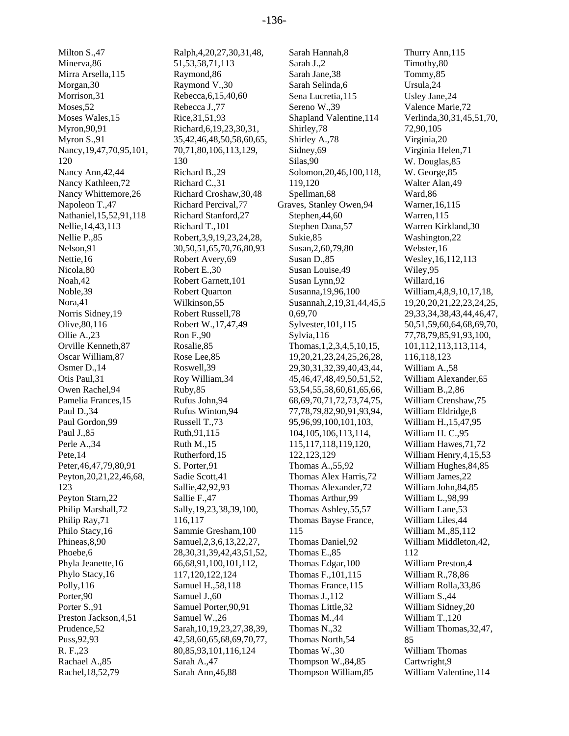Milton S.,47 Minerva,86 Mirra Arsella,115 Morgan,30 Morrison,31 Moses,52 Moses Wales,15 Myron,90,91 Myron S.,91 Nancy,19,47,70,95,101, 120 Nancy Ann,42,44 Nancy Kathleen,72 Nancy Whittemore,26 Napoleon T.,47 Nathaniel,15,52,91,118 Nellie,14,43,113 Nellie P.,85 Nelson,91 Nettie,16 Nicola,80 Noah,42 Noble,39 Nora,41 Norris Sidney,19 Olive,80,116 Ollie A.,23 Orville Kenneth,87 Oscar William,87 Osmer D.,14 Otis Paul,31 Owen Rachel,94 Pamelia Frances,15 Paul D.,34 Paul Gordon,99 Paul J.,85 Perle A.,34 Pete,14 Peter,46,47,79,80,91 Peyton,20,21,22,46,68, 123 Peyton Starn,22 Philip Marshall,72 Philip Ray,71 Philo Stacy,16 Phineas,8,90 Phoebe,6 Phyla Jeanette,16 Phylo Stacy,16 Polly,116 Porter,90 Porter S.,91 Preston Jackson,4,51 Prudence,52 Puss,92,93 R. F.,23 Rachael A.,85 Rachel,18,52,79

Ralph,4,20,27,30,31,48, 51,53,58,71,113 Raymond,86 Raymond V.,30 Rebecca,6,15,40,60 Rebecca J.,77 Rice,31,51,93 Richard,6,19,23,30,31, 35,42,46,48,50,58,60,65, 70,71,80,106,113,129, 130 Richard B.,29 Richard C.,31 Richard Croshaw,30,48 Richard Percival,77 Richard Stanford,27 Richard T.,101 Robert,3,9,19,23,24,28, 30,50,51,65,70,76,80,93 Robert Avery,69 Robert E.,30 Robert Garnett,101 Robert Quarton Wilkinson,55 Robert Russell,78 Robert W.,17,47,49 Ron F.,90 Rosalie,85 Rose Lee,85 Roswell,39 Roy William,34 Ruby,85 Rufus John,94 Rufus Winton,94 Russell T.,73 Ruth,91,115 Ruth M.,15 Rutherford,15 S. Porter,91 Sadie Scott,41 Sallie,42,92,93 Sallie F.,47 Sally,19,23,38,39,100, 116,117 Sammie Gresham,100 Samuel,2,3,6,13,22,27, 28,30,31,39,42,43,51,52, 66,68,91,100,101,112, 117,120,122,124 Samuel H.,58,118 Samuel J.,60 Samuel Porter,90,91 Samuel W.,26 Sarah,10,19,23,27,38,39, 42,58,60,65,68,69,70,77, 80,85,93,101,116,124 Sarah A<sub>.</sub>47 Sarah Ann,46,88

Sarah Hannah,8 Sarah J.,2 Sarah Jane,38 Sarah Selinda,6 Sena Lucretia,115 Sereno W.,39 Shapland Valentine,114 Shirley,78 Shirley A.,78 Sidney,69 Silas,90 Solomon,20,46,100,118, 119,120 Spellman,68 Graves, Stanley Owen,94 Stephen,44,60 Stephen Dana,57 Sukie,85 Susan,2,60,79,80 Susan D.,85 Susan Louise,49 Susan Lynn,92 Susanna,19,96,100 Susannah,2,19,31,44,45,5 0,69,70 Sylvester,101,115 Sylvia,116 Thomas,1,2,3,4,5,10,15, 19,20,21,23,24,25,26,28, 29,30,31,32,39,40,43,44, 45,46,47,48,49,50,51,52, 53,54,55,58,60,61,65,66, 68,69,70,71,72,73,74,75, 77,78,79,82,90,91,93,94, 95,96,99,100,101,103, 104,105,106,113,114, 115,117,118,119,120, 122,123,129 Thomas A.,55,92 Thomas Alex Harris,72 Thomas Alexander,72 Thomas Arthur,99 Thomas Ashley,55,57 Thomas Bayse France, 115 Thomas Daniel,92 Thomas E.,85 Thomas Edgar,100 Thomas F.,101,115 Thomas France,115 Thomas J.,112 Thomas Little,32 Thomas M.,44 Thomas N.,32 Thomas North,54 Thomas W.,30 Thompson W.,84,85 Thompson William,85

Thurry Ann,115 Timothy,80 Tommy,85 Ursula,24 Usley Jane,24 Valence Marie,72 Verlinda,30,31,45,51,70, 72,90,105 Virginia,20 Virginia Helen,71 W. Douglas,85 W. George,85 Walter Alan,49 Ward,86 Warner,16,115 Warren,115 Warren Kirkland,30 Washington,22 Webster,16 Wesley,16,112,113 Wiley,95 Willard,16 William,4,8,9,10,17,18, 19,20,20,21,22,23,24,25, 29,33,34,38,43,44,46,47, 50,51,59,60,64,68,69,70, 77,78,79,85,91,93,100, 101,112,113,113,114, 116,118,123 William A.,58 William Alexander,65 William B.,2,86 William Crenshaw,75 William Eldridge,8 William H.,15,47,95 William H. C.,95 William Hawes,71,72 William Henry,4,15,53 William Hughes,84,85 William James,22 William John,84,85 William L.,98,99 William Lane,53 William Liles,44 William M.,85,112 William Middleton,42, 112 William Preston,4 William R.,78,86 William Rolla,33,86 William S.,44 William Sidney,20 William T.,120 William Thomas,32,47, 85 William Thomas Cartwright,9 William Valentine,114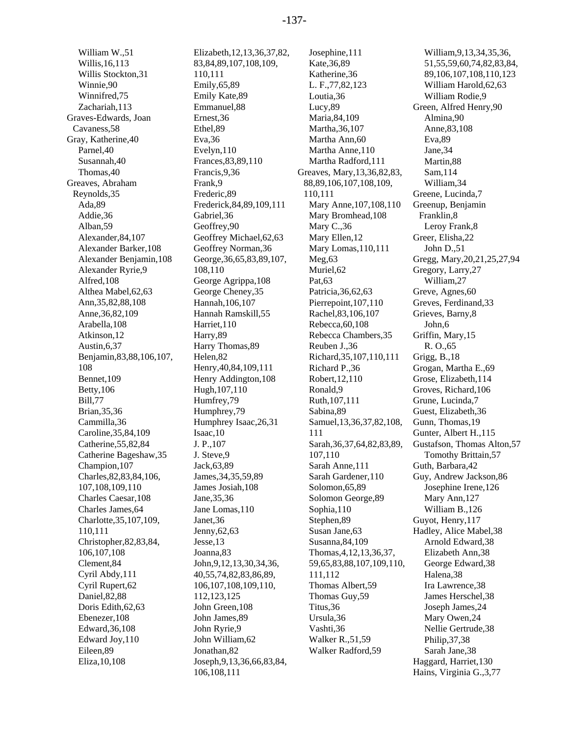William W.,51 Willis,16,113 Willis Stockton,31 Winnie,90 Winnifred,75 Zachariah,113 Graves-Edwards, Joan Cavaness,58 Gray, Katherine,40 Parnel,40 Susannah,40 Thomas,40 Greaves, Abraham Reynolds,35 Ada,89 Addie,36 Alban,59 Alexander,84,107 Alexander Barker,108 Alexander Benjamin,108 Alexander Ryrie,9 Alfred,108 Althea Mabel,62,63 Ann,35,82,88,108 Anne,36,82,109 Arabella,108 Atkinson,12 Austin,6,37 Benjamin,83,88,106,107, 108 Bennet,109 Betty,106 Bill,77 Brian,35,36 Cammilla,36 Caroline,35,84,109 Catherine,55,82,84 Catherine Bageshaw,35 Champion,107 Charles,82,83,84,106, 107,108,109,110 Charles Caesar,108 Charles James,64 Charlotte,35,107,109, 110,111 Christopher,82,83,84, 106,107,108 Clement,84 Cyril Abdy,111 Cyril Rupert,62 Daniel,82,88 Doris Edith,62,63 Ebenezer,108 Edward,36,108 Edward Joy,110 Eileen,89 Eliza,10,108

Elizabeth,12,13,36,37,82, 83,84,89,107,108,109, 110,111 Emily,65,89 Emily Kate,89 Emmanuel,88 Ernest,36 Ethel,89 Eva,36 Evelyn,110 Frances,83,89,110 Francis,9,36 Frank,9 Frederic,89 Frederick,84,89,109,111 Gabriel,36 Geoffrey,90 Geoffrey Michael,62,63 Geoffrey Norman,36 George,36,65,83,89,107, 108,110 George Agrippa,108 George Cheney,35 Hannah,106,107 Hannah Ramskill,55 Harriet,110 Harry,89 Harry Thomas,89 Helen,82 Henry,40,84,109,111 Henry Addington,108 Hugh,107,110 Humfrey,79 Humphrey,79 Humphrey Isaac,26,31 Isaac,10 J. P.,107 J. Steve,9 Jack,63,89 James,34,35,59,89 James Josiah,108 Jane,35,36 Jane Lomas,110 Janet,36 Jenny,62,63 Jesse,13 Joanna,83 John,9,12,13,30,34,36, 40,55,74,82,83,86,89, 106,107,108,109,110, 112,123,125 John Green,108 John James,89 John Ryrie,9 John William,62 Jonathan,82 Joseph,9,13,36,66,83,84, 106,108,111

Josephine,111 Kate,36,89 Katherine,36 L. F.,77,82,123 Loutia,36 Lucy,89 Maria,84,109 Martha,36,107 Martha Ann,60 Martha Anne,110 Martha Radford,111 Greaves, Mary,13,36,82,83, 88,89,106,107,108,109, 110,111 Mary Anne,107,108,110 Mary Bromhead,108 Mary C.,36 Mary Ellen,12 Mary Lomas,110,111 Meg<sub>,63</sub> Muriel,62 Pat,63 Patricia,36,62,63 Pierrepoint,107,110 Rachel,83,106,107 Rebecca,60,108 Rebecca Chambers,35 Reuben J.,36 Richard,35,107,110,111 Richard P.,36 Robert,12,110 Ronald,9 Ruth,107,111 Sabina,89 Samuel,13,36,37,82,108, 111 Sarah,36,37,64,82,83,89, 107,110 Sarah Anne,111 Sarah Gardener,110 Solomon,65,89 Solomon George,89 Sophia,110 Stephen,89 Susan Jane,63 Susanna,84,109 Thomas,4,12,13,36,37, 59,65,83,88,107,109,110, 111,112 Thomas Albert,59 Thomas Guy,59 Titus,36 Ursula,36 Vashti,36 Walker R.,51,59 Walker Radford,59

William,9,13,34,35,36, 51,55,59,60,74,82,83,84, 89,106,107,108,110,123 William Harold,62,63 William Rodie,9 Green, Alfred Henry,90 Almina,90 Anne,83,108 Eva,89 Jane,34 Martin,88 Sam,114 William,34 Greene, Lucinda,7 Greenup, Benjamin Franklin,8 Leroy Frank,8 Greer, Elisha,22 John D.,51 Gregg, Mary,20,21,25,27,94 Gregory, Larry,27 William,27 Greve, Agnes,60 Greves, Ferdinand,33 Grieves, Barny,8 John,6 Griffin, Mary,15 R. O.,65 Grigg, B.,18 Grogan, Martha E.,69 Grose, Elizabeth,114 Groves, Richard,106 Grune, Lucinda,7 Guest, Elizabeth,36 Gunn, Thomas,19 Gunter, Albert H.,115 Gustafson, Thomas Alton,57 Tomothy Brittain,57 Guth, Barbara,42 Guy, Andrew Jackson,86 Josephine Irene,126 Mary Ann,127 William B.,126 Guyot, Henry,117 Hadley, Alice Mabel,38 Arnold Edward,38 Elizabeth Ann,38 George Edward,38 Halena,38 Ira Lawrence,38 James Herschel,38 Joseph James,24 Mary Owen,24 Nellie Gertrude,38 Philip,37,38 Sarah Jane,38 Haggard, Harriet,130 Hains, Virginia G.,3,77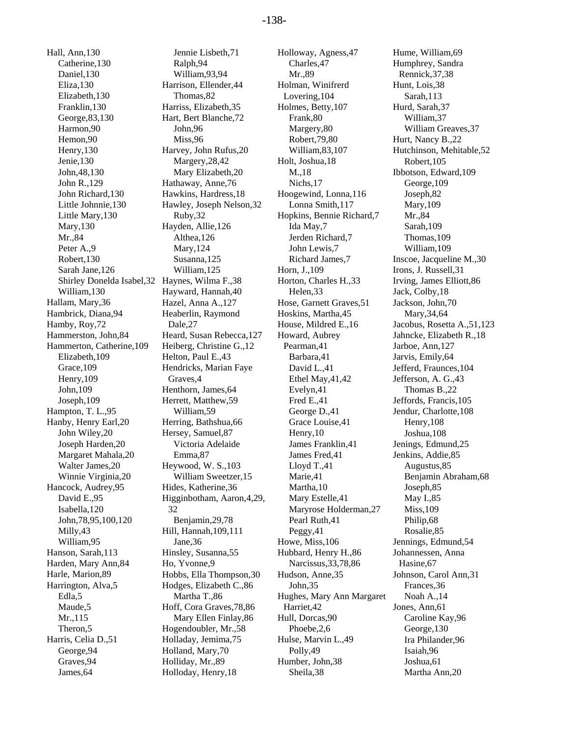Hall, Ann,130 Catherine,130 Daniel,130 Eliza,130 Elizabeth,130 Franklin,130 George,83,130 Harmon,90 Hemon,90 Henry,130 Jenie,130 John,48,130 John R.,129 John Richard,130 Little Johnnie,130 Little Mary,130 Mary,130 Mr.,84 Peter A.,9 Robert,130 Sarah Jane,126 Shirley Donelda Isabel,32 Haynes, Wilma F.,38 William,130 Hallam, Mary,36 Hambrick, Diana,94 Hamby, Roy,72 Hammerston, John,84 Hammerton, Catherine,109 Elizabeth,109 Grace,109 Henry,109 John,109 Joseph,109 Hampton, T. L.,95 Hanby, Henry Earl,20 John Wiley,20 Joseph Harden,20 Margaret Mahala,20 Walter James,20 Winnie Virginia,20 Hancock, Audrey,95 David E.,95 Isabella,120 John,78,95,100,120 Milly,43 William,95 Hanson, Sarah,113 Harden, Mary Ann,84 Harle, Marion,89 Harrington, Alva,5 Edla,5 Maude,5 Mr.,115 Theron,5 Harris, Celia D.,51 George,94 Graves,94 James,64

Jennie Lisbeth,71 Ralph,94 William,93,94 Harrison, Ellender,44 Thomas,82 Harriss, Elizabeth,35 Hart, Bert Blanche,72 John,96 Miss,96 Harvey, John Rufus,20 Margery,28,42 Mary Elizabeth,20 Hathaway, Anne,76 Hawkins, Hardress,18 Hawley, Joseph Nelson,32 Ruby,32 Hayden, Allie,126 Althea,126 Mary,124 Susanna,125 William,125 Hayward, Hannah,40 Hazel, Anna A.,127 Heaberlin, Raymond Dale,27 Heard, Susan Rebecca,127 Heiberg, Christine G.,12 Helton, Paul E.,43 Hendricks, Marian Faye Graves,4 Henthorn, James,64 Herrett, Matthew,59 William,59 Herring, Bathshua,66 Hersey, Samuel,87 Victoria Adelaide Emma,87 Heywood, W. S.,103 William Sweetzer,15 Hides, Katherine,36 Higginbotham, Aaron,4,29, 32 Benjamin,29,78 Hill, Hannah,109,111 Jane,36 Hinsley, Susanna,55 Ho, Yvonne,9 Hobbs, Ella Thompson,30 Hodges, Elizabeth C.,86 Martha T.,86 Hoff, Cora Graves,78,86 Mary Ellen Finlay,86 Hogendoubler, Mr.,58 Holladay, Jemima,75 Holland, Mary,70 Holliday, Mr.,89 Holloday, Henry,18

Holloway, Agness,47 Charles,47 Mr.,89 Holman, Winifrerd Lovering,104 Holmes, Betty,107 Frank,80 Margery,80 Robert,79,80 William,83,107 Holt, Joshua,18 M.,18 Nichs,17 Hoogewind, Lonna,116 Lonna Smith,117 Hopkins, Bennie Richard,7 Ida May,7 Jerden Richard,7 John Lewis,7 Richard James,7 Horn, J.,109 Horton, Charles H.,33 Helen,33 Hose, Garnett Graves,51 Hoskins, Martha,45 House, Mildred E.,16 Howard, Aubrey Pearman,41 Barbara,41 David L.,41 Ethel May,41,42 Evelyn,41 Fred E.,41 George D.,41 Grace Louise,41 Henry,10 James Franklin,41 James Fred,41 Lloyd T.,41 Marie,41 Martha,10 Mary Estelle,41 Maryrose Holderman,27 Pearl Ruth,41 Peggy,41 Howe, Miss,106 Hubbard, Henry H.,86 Narcissus,33,78,86 Hudson, Anne,35 John,35 Hughes, Mary Ann Margaret Harriet,42 Hull, Dorcas,90 Phoebe,2,6 Hulse, Marvin L.,49 Polly,49 Humber, John,38 Sheila,38

Hume, William,69 Humphrey, Sandra Rennick,37,38 Hunt, Lois,38 Sarah,113 Hurd, Sarah,37 William,37 William Greaves,37 Hurt, Nancy B.,22 Hutchinson, Mehitable,52 Robert,105 Ibbotson, Edward,109 George,109 Joseph,82 Mary,109 Mr.,84 Sarah,109 Thomas,109 William,109 Inscoe, Jacqueline M.,30 Irons, J. Russell,31 Irving, James Elliott,86 Jack, Colby,18 Jackson, John,70 Mary,34,64 Jacobus, Rosetta A.,51,123 Jahncke, Elizabeth R.,18 Jarboe, Ann,127 Jarvis, Emily,64 Jefferd, Fraunces,104 Jefferson, A. G.,43 Thomas B.,22 Jeffords, Francis,105 Jendur, Charlotte,108 Henry,108 Joshua,108 Jenings, Edmund,25 Jenkins, Addie,85 Augustus,85 Benjamin Abraham,68 Joseph,85 May I.,85 Miss,109 Philip,68 Rosalie,85 Jennings, Edmund,54 Johannessen, Anna Hasine,67 Johnson, Carol Ann,31 Frances,36 Noah A.,14 Jones, Ann,61 Caroline Kay,96 George,130 Ira Philander,96 Isaiah,96 Joshua,61 Martha Ann,20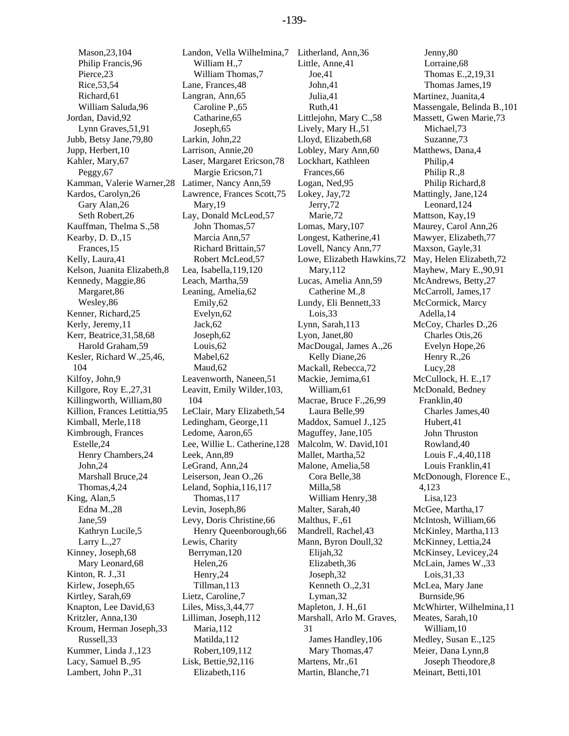Mason,23,104 Philip Francis,96 Pierce,23 Rice,53,54 Richard,61 William Saluda,96 Jordan, David,92 Lynn Graves,51,91 Jubb, Betsy Jane,79,80 Jupp, Herbert,10 Kahler, Mary,67 Peggy<sub>,67</sub> Kamman, Valerie Warner,28 Kardos, Carolyn,26 Gary Alan,26 Seth Robert,26 Kauffman, Thelma S.,58 Kearby, D. D.,15 Frances,15 Kelly, Laura,41 Kelson, Juanita Elizabeth,8 Kennedy, Maggie,86 Margaret,86 Wesley,86 Kenner, Richard,25 Kerly, Jeremy,11 Kerr, Beatrice,31,58,68 Harold Graham,59 Kesler, Richard W.,25,46, 104 Kilfoy, John,9 Killgore, Roy E.,27,31 Killingworth, William,80 Killion, Frances Letittia,95 Kimball, Merle,118 Kimbrough, Frances Estelle,24 Henry Chambers,24 John,24 Marshall Bruce,24 Thomas,4,24 King, Alan,5 Edna M.,28 Jane,59 Kathryn Lucile,5 Larry L.,27 Kinney, Joseph,68 Mary Leonard,68 Kinton, R. J.,31 Kirlew, Joseph,65 Kirtley, Sarah,69 Knapton, Lee David,63 Kritzler, Anna,130 Kroum, Herman Joseph,33 Russell,33 Kummer, Linda J.,123 Lacy, Samuel B.,95 Lambert, John P.,31

Landon, Vella Wilhelmina,7 Litherland, Ann,36 William H.,7 William Thomas,7 Lane, Frances,48 Langran, Ann,65 Caroline P.,65 Catharine,65 Joseph,65 Larkin, John,22 Larrison, Annie,20 Laser, Margaret Ericson,78 Margie Ericson,71 Latimer, Nancy Ann,59 Lawrence, Frances Scott,75 Mary,19 Lay, Donald McLeod,57 John Thomas,57 Marcia Ann,57 Richard Brittain,57 Robert McLeod,57 Lea, Isabella,119,120 Leach, Martha,59 Leaning, Amelia,62 Emily,62 Evelyn,62 Jack,62 Joseph,62 Louis,62 Mabel,62 Maud,62 Leavenworth, Naneen,51 Leavitt, Emily Wilder,103, 104 LeClair, Mary Elizabeth,54 Ledingham, George,11 Ledome, Aaron,65 Lee, Willie L. Catherine,128 Leek, Ann,89 LeGrand, Ann,24 Leiserson, Jean O.,26 Leland, Sophia,116,117 Thomas,117 Levin, Joseph,86 Levy, Doris Christine,66 Henry Queenborough,66 Lewis, Charity Berryman,120 Helen,26 Henry,24 Tillman,113 Lietz, Caroline,7 Liles, Miss,3,44,77 Lilliman, Joseph,112 Maria,112 Matilda,112 Robert,109,112 Lisk, Bettie,92,116 Elizabeth,116

Little, Anne,41 Joe,41 John,41 Julia,41 Ruth,41 Littlejohn, Mary C.,58 Lively, Mary H.,51 Lloyd, Elizabeth,68 Lobley, Mary Ann,60 Lockhart, Kathleen Frances,66 Logan, Ned,95 Lokey, Jay,72 Jerry,72 Marie,72 Lomas, Mary,107 Longest, Katherine,41 Lovell, Nancy Ann,77 Lowe, Elizabeth Hawkins,72 Mary,112 Lucas, Amelia Ann,59 Catherine M.,8 Lundy, Eli Bennett,33 Lois,33 Lynn, Sarah,113 Lyon, Janet,80 MacDougal, James A.,26 Kelly Diane,26 Mackall, Rebecca,72 Mackie, Jemima,61 William,61 Macrae, Bruce F.,26,99 Laura Belle,99 Maddox, Samuel J.,125 Maguffey, Jane,105 Malcolm, W. David,101 Mallet, Martha,52 Malone, Amelia,58 Cora Belle,38 Milla,58 William Henry,38 Malter, Sarah,40 Malthus, F.,61 Mandrell, Rachel,43 Mann, Byron Doull,32 Elijah,32 Elizabeth,36 Joseph,32 Kenneth O.,2,31 Lyman,32 Mapleton, J. H.,61 Marshall, Arlo M. Graves, 31 James Handley,106 Mary Thomas,47 Martens, Mr.,61 Martin, Blanche,71

Jenny,80 Lorraine,68 Thomas E.,2,19,31 Thomas James,19 Martinez, Juanita,4 Massengale, Belinda B.,101 Massett, Gwen Marie,73 Michael,73 Suzanne,73 Matthews, Dana,4 Philip,4 Philip R.,8 Philip Richard,8 Mattingly, Jane,124 Leonard,124 Mattson, Kay,19 Maurey, Carol Ann,26 Mawyer, Elizabeth,77 Maxson, Gayle,31 May, Helen Elizabeth,72 Mayhew, Mary E.,90,91 McAndrews, Betty,27 McCarroll, James,17 McCormick, Marcy Adella,14 McCoy, Charles D.,26 Charles Otis,26 Evelyn Hope,26 Henry R.,26 Lucy,28 McCullock, H. E.,17 McDonald, Bedney Franklin,40 Charles James,40 Hubert,41 John Thruston Rowland,40 Louis F.,4,40,118 Louis Franklin,41 McDonough, Florence E., 4,123 Lisa,123 McGee, Martha,17 McIntosh, William,66 McKinley, Martha,113 McKinney, Lettia,24 McKinsey, Levicey,24 McLain, James W.,33 Lois,31,33 McLea, Mary Jane Burnside,96 McWhirter, Wilhelmina,11 Meates, Sarah,10 William,10 Medley, Susan E.,125 Meier, Dana Lynn,8 Joseph Theodore,8 Meinart, Betti,101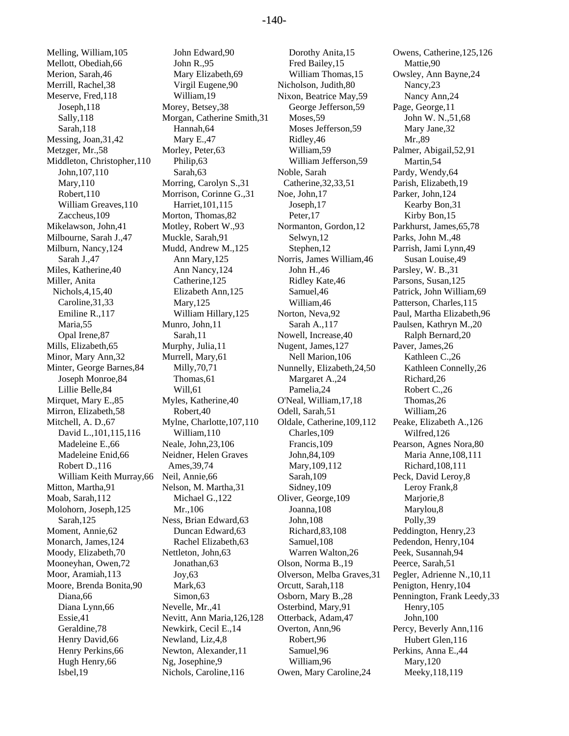Melling, William,105 Mellott, Obediah,66 Merion, Sarah,46 Merrill, Rachel,38 Meserve, Fred,118 Joseph,118 Sally,118 Sarah,118 Messing, Joan,31,42 Metzger, Mr.,58 Middleton, Christopher,110 John,107,110 Mary,110 Robert,110 William Greaves,110 Zaccheus,109 Mikelawson, John,41 Milbourne, Sarah J.,47 Milburn, Nancy,124 Sarah J.,47 Miles, Katherine,40 Miller, Anita Nichols,4,15,40 Caroline,31,33 Emiline R.,117 Maria,55 Opal Irene,87 Mills, Elizabeth,65 Minor, Mary Ann,32 Minter, George Barnes,84 Joseph Monroe,84 Lillie Belle,84 Mirquet, Mary E.,85 Mirron, Elizabeth,58 Mitchell, A. D.,67 David L.,101,115,116 Madeleine E.,66 Madeleine Enid,66 Robert D.,116 William Keith Murray,66 Mitton, Martha,91 Moab, Sarah,112 Molohorn, Joseph,125 Sarah,125 Moment, Annie,62 Monarch, James,124 Moody, Elizabeth,70 Mooneyhan, Owen,72 Moor, Aramiah,113 Moore, Brenda Bonita,90 Diana,66 Diana Lynn,66 Essie,41 Geraldine,78 Henry David,66 Henry Perkins,66 Hugh Henry,66 Isbel,19

John Edward,90 John R.,95 Mary Elizabeth,69 Virgil Eugene,90 William,19 Morey, Betsey,38 Morgan, Catherine Smith,31 Hannah,64 Mary E.,47 Morley, Peter,63 Philip,63 Sarah,63 Morring, Carolyn S.,31 Morrison, Corinne G.,31 Harriet,101,115 Morton, Thomas,82 Motley, Robert W.,93 Muckle, Sarah,91 Mudd, Andrew M.,125 Ann Mary,125 Ann Nancy,124 Catherine,125 Elizabeth Ann,125 Mary,125 William Hillary,125 Munro, John,11 Sarah,11 Murphy, Julia,11 Murrell, Mary,61 Milly,70,71 Thomas,61 Will,61 Myles, Katherine,40 Robert,40 Mylne, Charlotte,107,110 William,110 Neale, John,23,106 Neidner, Helen Graves Ames,39,74 Neil, Annie,66 Nelson, M. Martha,31 Michael G.,122 Mr.,106 Ness, Brian Edward,63 Duncan Edward,63 Rachel Elizabeth,63 Nettleton, John,63 Jonathan,63 Joy,63 Mark,63 Simon,63 Nevelle, Mr.,41 Nevitt, Ann Maria,126,128 Newkirk, Cecil E.,14 Newland, Liz,4,8 Newton, Alexander,11 Ng, Josephine,9 Nichols, Caroline,116

Dorothy Anita,15 Fred Bailey,15 William Thomas,15 Nicholson, Judith,80 Nixon, Beatrice May,59 George Jefferson,59 Moses,59 Moses Jefferson,59 Ridley,46 William,59 William Jefferson,59 Noble, Sarah Catherine,32,33,51 Noe, John,17 Joseph,17 Peter,17 Normanton, Gordon,12 Selwyn,12 Stephen,12 Norris, James William,46 John H.,46 Ridley Kate,46 Samuel,46 William,46 Norton, Neva,92 Sarah A.,117 Nowell, Increase,40 Nugent, James,127 Nell Marion,106 Nunnelly, Elizabeth,24,50 Margaret A.,24 Pamelia,24 O'Neal, William,17,18 Odell, Sarah,51 Oldale, Catherine,109,112 Charles,109 Francis,109 John,84,109 Mary,109,112 Sarah,109 Sidney,109 Oliver, George,109 Joanna,108 John,108 Richard,83,108 Samuel,108 Warren Walton,26 Olson, Norma B.,19 Olverson, Melba Graves,31 Orcutt, Sarah,118 Osborn, Mary B.,28 Osterbind, Mary,91 Otterback, Adam,47 Overton, Ann,96 Robert,96 Samuel,96 William,96 Owen, Mary Caroline,24

Owens, Catherine,125,126 Mattie,90 Owsley, Ann Bayne,24 Nancy,23 Nancy Ann,24 Page, George,11 John W. N.,51,68 Mary Jane,32 Mr.,89 Palmer, Abigail,52,91 Martin,54 Pardy, Wendy,64 Parish, Elizabeth,19 Parker, John,124 Kearby Bon,31 Kirby Bon,15 Parkhurst, James,65,78 Parks, John M.,48 Parrish, Jami Lynn,49 Susan Louise,49 Parsley, W. B.,31 Parsons, Susan,125 Patrick, John William,69 Patterson, Charles,115 Paul, Martha Elizabeth,96 Paulsen, Kathryn M.,20 Ralph Bernard,20 Paver, James,26 Kathleen C.,26 Kathleen Connelly,26 Richard,26 Robert C.,26 Thomas,26 William,26 Peake, Elizabeth A.,126 Wilfred,126 Pearson, Agnes Nora,80 Maria Anne,108,111 Richard,108,111 Peck, David Leroy,8 Leroy Frank,8 Marjorie, 8 Marylou,8 Polly,39 Peddington, Henry,23 Pedendon, Henry,104 Peek, Susannah,94 Peerce, Sarah,51 Pegler, Adrienne N.,10,11 Penigton, Henry,104 Pennington, Frank Leedy,33 Henry,105 John,100 Percy, Beverly Ann,116 Hubert Glen,116 Perkins, Anna E.,44 Mary,120 Meeky,118,119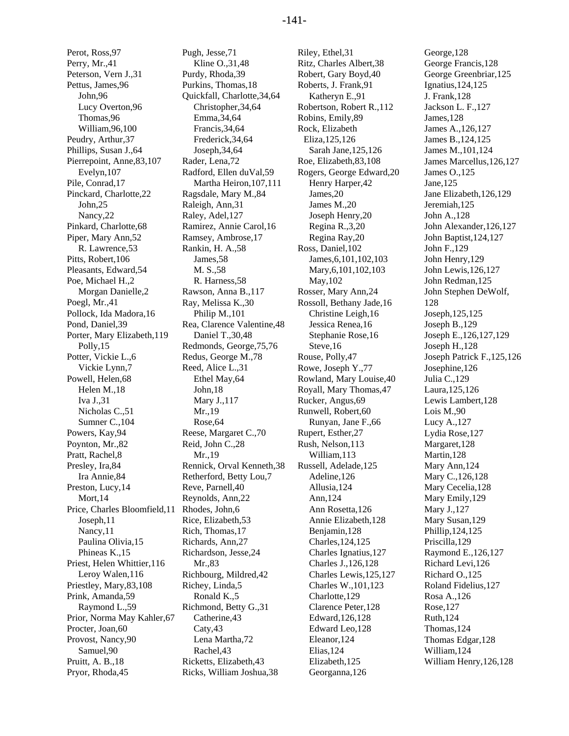Perot, Ross,97 Perry, Mr.,41 Peterson, Vern J.,31 Pettus, James,96 John,96 Lucy Overton,96 Thomas,96 William,96,100 Peudry, Arthur,37 Phillips, Susan J.,64 Pierrepoint, Anne,83,107 Evelyn,107 Pile, Conrad,17 Pinckard, Charlotte,22 John,25 Nancy,22 Pinkard, Charlotte,68 Piper, Mary Ann,52 R. Lawrence,53 Pitts, Robert,106 Pleasants, Edward,54 Poe, Michael H.,2 Morgan Danielle,2 Poegl, Mr.,41 Pollock, Ida Madora,16 Pond, Daniel,39 Porter, Mary Elizabeth,119 Polly,15 Potter, Vickie L.,6 Vickie Lynn,7 Powell, Helen,68 Helen M.,18 Iva J.,31 Nicholas C.,51 Sumner C.,104 Powers, Kay,94 Poynton, Mr.,82 Pratt, Rachel,8 Presley, Ira,84 Ira Annie,84 Preston, Lucy,14 Mort,14 Price, Charles Bloomfield,11 Joseph,11 Nancy,11 Paulina Olivia,15 Phineas K.,15 Priest, Helen Whittier,116 Leroy Walen,116 Priestley, Mary,83,108 Prink, Amanda,59 Raymond L.,59 Prior, Norma May Kahler,67 Procter, Joan,60 Provost, Nancy,90 Samuel,90 Pruitt, A. B.,18 Pryor, Rhoda,45

Pugh, Jesse,71 Kline O.,31,48 Purdy, Rhoda,39 Purkins, Thomas,18 Quickfall, Charlotte,34,64 Christopher,34,64 Emma,34,64 Francis,34,64 Frederick,34,64 Joseph,34,64 Rader, Lena,72 Radford, Ellen duVal,59 Martha Heiron,107,111 Ragsdale, Mary M.,84 Raleigh, Ann,31 Raley, Adel,127 Ramirez, Annie Carol,16 Ramsey, Ambrose,17 Rankin, H. A.,58 James,58 M. S.,58 R. Harness,58 Rawson, Anna B.,117 Ray, Melissa K.,30 Philip M.,101 Rea, Clarence Valentine,48 Daniel T.,30,48 Redmonds, George,75,76 Redus, George M.,78 Reed, Alice L.,31 Ethel May,64 John,18 Mary J.,117 Mr.,19 Rose,64 Reese, Margaret C.,70 Reid, John C.,28 Mr.,19 Rennick, Orval Kenneth,38 Retherford, Betty Lou,7 Reve, Parnell,40 Reynolds, Ann,22 Rhodes, John,6 Rice, Elizabeth,53 Rich, Thomas,17 Richards, Ann,27 Richardson, Jesse,24 Mr.,83 Richbourg, Mildred,42 Richey, Linda,5 Ronald K.,5 Richmond, Betty G.,31 Catherine,43 Caty,43 Lena Martha,72 Rachel,43 Ricketts, Elizabeth,43 Ricks, William Joshua,38

Riley, Ethel,31 Ritz, Charles Albert,38 Robert, Gary Boyd,40 Roberts, J. Frank,91 Katheryn E.,91 Robertson, Robert R.,112 Robins, Emily,89 Rock, Elizabeth Eliza,125,126 Sarah Jane,125,126 Roe, Elizabeth,83,108 Rogers, George Edward,20 Henry Harper,42 James,20 James M.,20 Joseph Henry,20 Regina R.,3,20 Regina Ray,20 Ross, Daniel,102 James,6,101,102,103 Mary,6,101,102,103 May,102 Rosser, Mary Ann,24 Rossoll, Bethany Jade,16 Christine Leigh,16 Jessica Renea,16 Stephanie Rose,16 Steve,16 Rouse, Polly,47 Rowe, Joseph Y.,77 Rowland, Mary Louise,40 Royall, Mary Thomas,47 Rucker, Angus,69 Runwell, Robert,60 Runyan, Jane F.,66 Rupert, Esther,27 Rush, Nelson,113 William,113 Russell, Adelade,125 Adeline,126 Allusia,124 Ann,124 Ann Rosetta,126 Annie Elizabeth,128 Benjamin,128 Charles,124,125 Charles Ignatius,127 Charles J.,126,128 Charles Lewis,125,127 Charles W.,101,123 Charlotte,129 Clarence Peter,128 Edward,126,128 Edward Leo,128 Eleanor,124 Elias,124 Elizabeth,125 Georganna,126

George,128 George Francis,128 George Greenbriar,125 Ignatius,124,125 J. Frank,128 Jackson L. F.,127 James,128 James A.,126,127 James B.,124,125 James M.,101,124 James Marcellus,126,127 James O.,125 Jane,125 Jane Elizabeth,126,129 Jeremiah,125 John A.,128 John Alexander,126,127 John Baptist,124,127 John F.,129 John Henry,129 John Lewis,126,127 John Redman,125 John Stephen DeWolf, 128 Joseph,125,125 Joseph B.,129 Joseph E.,126,127,129 Joseph H.,128 Joseph Patrick F.,125,126 Josephine,126 Julia C.,129 Laura,125,126 Lewis Lambert,128 Lois M.,90 Lucy A.,127 Lydia Rose,127 Margaret,128 Martin,128 Mary Ann,124 Mary C.,126,128 Mary Cecelia,128 Mary Emily,129 Mary J.,127 Mary Susan,129 Phillip,124,125 Priscilla,129 Raymond E.,126,127 Richard Levi,126 Richard O.,125 Roland Fidelius,127 Rosa A.,126 Rose,127 Ruth,124 Thomas,124 Thomas Edgar,128 William,124 William Henry,126,128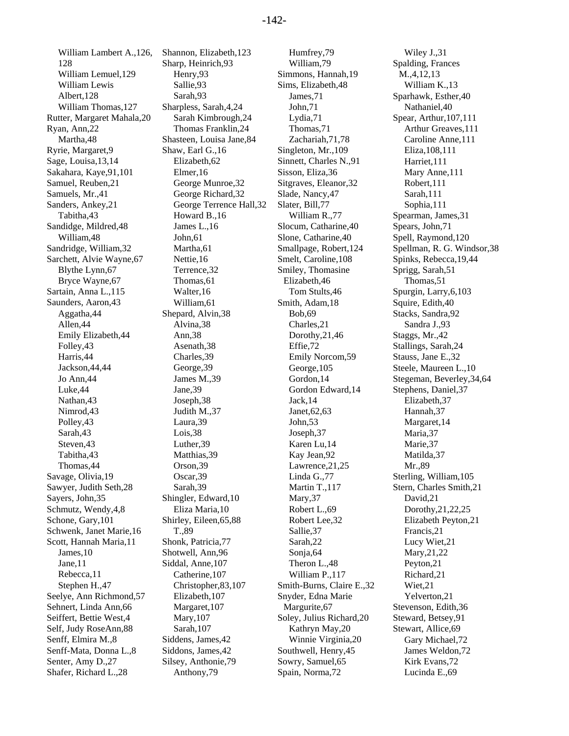William Lambert A.,126, 128 William Lemuel,129 William Lewis Albert,128 William Thomas,127 Rutter, Margaret Mahala,20 Ryan, Ann,22 Martha,48 Ryrie, Margaret,9 Sage, Louisa,13,14 Sakahara, Kaye,91,101 Samuel, Reuben,21 Samuels, Mr.,41 Sanders, Ankey,21 Tabitha,43 Sandidge, Mildred,48 William,48 Sandridge, William,32 Sarchett, Alvie Wayne,67 Blythe Lynn,67 Bryce Wayne,67 Sartain, Anna L.,115 Saunders, Aaron,43 Aggatha,44 Allen,44 Emily Elizabeth,44 Folley,43 Harris,44 Jackson,44,44 Jo Ann,44 Luke,44 Nathan,43 Nimrod,43 Polley,43 Sarah,43 Steven,43 Tabitha,43 Thomas,44 Savage, Olivia,19 Sawyer, Judith Seth,28 Sayers, John,35 Schmutz, Wendy,4,8 Schone, Gary,101 Schwenk, Janet Marie,16 Scott, Hannah Maria,11 James,10 Jane,11 Rebecca,11 Stephen H.,47 Seelye, Ann Richmond,57 Sehnert, Linda Ann,66 Seiffert, Bettie West,4 Self, Judy RoseAnn,88 Senff, Elmira M.,8 Senff-Mata, Donna L.,8 Senter, Amy D.,27 Shafer, Richard L.,28

Shannon, Elizabeth,123 Sharp, Heinrich,93 Henry,93 Sallie,93 Sarah,93 Sharpless, Sarah,4,24 Sarah Kimbrough,24 Thomas Franklin,24 Shasteen, Louisa Jane,84 Shaw, Earl G.,16 Elizabeth,62 Elmer,16 George Munroe,32 George Richard,32 George Terrence Hall,32 Howard B.,16 James L.,16 John,61 Martha,61 Nettie,16 Terrence,32 Thomas,61 Walter,16 William,61 Shepard, Alvin,38 Alvina,38 Ann,38 Asenath,38 Charles,39 George,39 James M.,39 Jane,39 Joseph,38 Judith M.,37 Laura,39 Lois,38 Luther,39 Matthias,39 Orson,39 Oscar,39 Sarah,39 Shingler, Edward,10 Eliza Maria,10 Shirley, Eileen,65,88 T.,89 Shonk, Patricia,77 Shotwell, Ann,96 Siddal, Anne,107 Catherine,107 Christopher,83,107 Elizabeth,107 Margaret,107 Mary,107 Sarah,107 Siddens, James,42 Siddons, James,42 Silsey, Anthonie,79 Anthony,79

Humfrey,79 William,79 Simmons, Hannah,19 Sims, Elizabeth,48 James,71 John,71 Lydia,71 Thomas,71 Zachariah,71,78 Singleton, Mr.,109 Sinnett, Charles N.,91 Sisson, Eliza,36 Sitgraves, Eleanor,32 Slade, Nancy,47 Slater, Bill,77 William R.,77 Slocum, Catharine,40 Slone, Catharine,40 Smallpage, Robert,124 Smelt, Caroline,108 Smiley, Thomasine Elizabeth,46 Tom Stults,46 Smith, Adam,18 Bob,69 Charles,21 Dorothy,21,46 Effie,72 Emily Norcom,59 George,105 Gordon,14 Gordon Edward,14 Jack,14 Janet,62,63 John,53 Joseph,37 Karen Lu,14 Kay Jean,92 Lawrence,21,25 Linda G.,77 Martin T.,117 Mary,37 Robert L.,69 Robert Lee,32 Sallie,37 Sarah,22 Sonja,64 Theron L.,48 William P.,117 Smith-Burns, Claire E.,32 Snyder, Edna Marie Margurite,67 Soley, Julius Richard,20 Kathryn May,20 Winnie Virginia,20 Southwell, Henry,45 Sowry, Samuel,65 Spain, Norma,72

Wiley J.,31 Spalding, Frances M.,4,12,13 William K.,13 Sparhawk, Esther,40 Nathaniel,40 Spear, Arthur,107,111 Arthur Greaves,111 Caroline Anne,111 Eliza,108,111 Harriet,111 Mary Anne,111 Robert,111 Sarah,111 Sophia,111 Spearman, James,31 Spears, John,71 Spell, Raymond,120 Spellman, R. G. Windsor,38 Spinks, Rebecca,19,44 Sprigg, Sarah,51 Thomas,51 Spurgin, Larry,6,103 Squire, Edith,40 Stacks, Sandra,92 Sandra J.,93 Staggs, Mr.,42 Stallings, Sarah,24 Stauss, Jane E.,32 Steele, Maureen L.,10 Stegeman, Beverley,34,64 Stephens, Daniel,37 Elizabeth,37 Hannah,37 Margaret,14 Maria,37 Marie,37 Matilda,37 Mr.,89 Sterling, William,105 Stern, Charles Smith,21 David,21 Dorothy,21,22,25 Elizabeth Peyton,21 Francis,21 Lucy Wiet,21 Mary,21,22 Peyton,21 Richard,21 Wiet,21 Yelverton,21 Stevenson, Edith,36 Steward, Betsey,91 Stewart, Allice,69 Gary Michael,72 James Weldon,72 Kirk Evans,72 Lucinda E.,69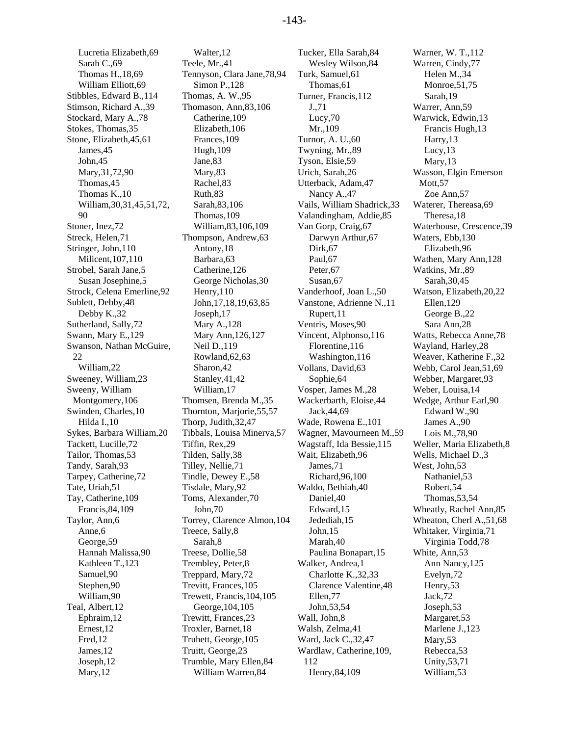Lucretia Elizabeth,69 Sarah C.,69 Thomas H.,18,69 William Elliott,69 Stibbles, Edward B.,114 Stimson, Richard A.,39 Stockard, Mary A.,78 Stokes, Thomas,35 Stone, Elizabeth,45,61 James,45 John,45 Mary,31,72,90 Thomas,45 Thomas K.,10 William,30,31,45,51,72, 90 Stoner, Inez,72 Streck, Helen,71 Stringer, John,110 Milicent,107,110 Strobel, Sarah Jane,5 Susan Josephine,5 Strock, Celena Emerline,92 Sublett, Debby,48 Debby K.,32 Sutherland, Sally,72 Swann, Mary E.,129 Swanson, Nathan McGuire, 22 William,22 Sweeney, William,23 Sweeny, William Montgomery,106 Swinden, Charles,10 Hilda I.,10 Sykes, Barbara William,20 Tackett, Lucille,72 Tailor, Thomas,53 Tandy, Sarah,93 Tarpey, Catherine,72 Tate, Uriah,51 Tay, Catherine,109 Francis,84,109 Taylor, Ann,6 Anne,6 George,59 Hannah Malissa,90 Kathleen T.,123 Samuel,90 Stephen,90 William,90 Teal, Albert,12 Ephraim,12 Ernest,12 Fred,12 James,12 Joseph,12 Mary,12

Walter,12 Teele, Mr.,41 Tennyson, Clara Jane,78,94 Simon P.,128 Thomas, A. W.,95 Thomason, Ann,83,106 Catherine,109 Elizabeth,106 Frances,109 Hugh,109 Jane,83 Mary,83 Rachel,83 Ruth,83 Sarah,83,106 Thomas,109 William,83,106,109 Thompson, Andrew,63 Antony,18 Barbara,63 Catherine,126 George Nicholas,30 Henry,110 John,17,18,19,63,85 Joseph,17 Mary A.,128 Mary Ann,126,127 Neil D.,119 Rowland,62,63 Sharon,42 Stanley,41,42 William,17 Thomsen, Brenda M.,35 Thornton, Marjorie,55,57 Thorp, Judith,32,47 Tibbals, Louisa Minerva,57 Tiffin, Rex,29 Tilden, Sally,38 Tilley, Nellie,71 Tindle, Dewey E.,58 Tisdale, Mary,92 Toms, Alexander,70 John,70 Torrey, Clarence Almon,104 Treece, Sally,8 Sarah,8 Treese, Dollie,58 Trembley, Peter,8 Treppard, Mary,72 Trevitt, Frances,105 Trewett, Francis,104,105 George,104,105 Trewitt, Frances,23 Troxler, Barnet,18 Truhett, George,105 Truitt, George,23 Trumble, Mary Ellen,84 William Warren,84

Tucker, Ella Sarah,84 Wesley Wilson,84 Turk, Samuel,61 Thomas,61 Turner, Francis,112 J.,71 Lucy,70 Mr.,109 Turnor, A. U.,60 Twyning, Mr.,89 Tyson, Elsie,59 Urich, Sarah,26 Utterback, Adam,47 Nancy A.,47 Vails, William Shadrick,33 Valandingham, Addie,85 Van Gorp, Craig,67 Darwyn Arthur,67 Dirk,67 Paul,67 Peter,67 Susan,67 Vanderhoof, Joan L.,50 Vanstone, Adrienne N.,11 Rupert,11 Ventris, Moses,90 Vincent, Alphonso,116 Florentine,116 Washington,116 Vollans, David,63 Sophie,64 Vosper, James M.,28 Wackerbarth, Eloise,44 Jack,44,69 Wade, Rowena E.,101 Wagner, Mavourneen M.,59 Wagstaff, Ida Bessie,115 Wait, Elizabeth,96 James,71 Richard,96,100 Waldo, Bethiah,40 Daniel,40 Edward,15 Jedediah,15 John,15 Marah,40 Paulina Bonapart,15 Walker, Andrea,1 Charlotte K.,32,33 Clarence Valentine,48 Ellen,77 John,53,54 Wall, John,8 Walsh, Zelma,41 Ward, Jack C.,32,47 Wardlaw, Catherine,109, 112 Henry,84,109

Warner, W. T.,112 Warren, Cindy,77 Helen M.,34 Monroe,51,75 Sarah,19 Warrer, Ann,59 Warwick, Edwin,13 Francis Hugh,13 Harry,13 Lucy,13 Mary,13 Wasson, Elgin Emerson Mott,57 Zoe Ann,57 Waterer, Thereasa,69 Theresa,18 Waterhouse, Crescence,39 Waters, Ebb,130 Elizabeth,96 Wathen, Mary Ann,128 Watkins, Mr.,89 Sarah,30,45 Watson, Elizabeth,20,22 Ellen,129 George B.,22 Sara Ann,28 Watts, Rebecca Anne,78 Wayland, Harley,28 Weaver, Katherine F.,32 Webb, Carol Jean,51,69 Webber, Margaret,93 Weber, Louisa,14 Wedge, Arthur Earl,90 Edward W.,90 James A.,90 Lois M.,78,90 Weller, Maria Elizabeth,8 Wells, Michael D.,3 West, John,53 Nathaniel,53 Robert,54 Thomas,53,54 Wheatly, Rachel Ann,85 Wheaton, Cherl A.,51,68 Whitaker, Virginia,71 Virginia Todd,78 White, Ann,53 Ann Nancy,125 Evelyn,72 Henry,53 Jack,72 Joseph,53 Margaret,53 Marlene J.,123 Mary,53 Rebecca,53 Unity,53,71 William,53